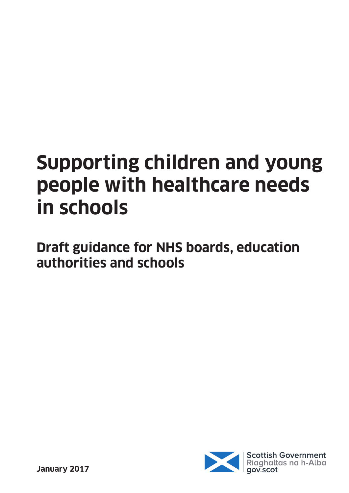# **Supporting children and young people with healthcare needs in schools**

**Draft guidance for NHS boards, education authorities and schools**

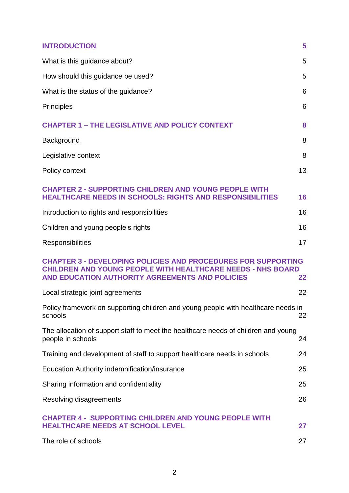| <b>INTRODUCTION</b>                                                                                                                                                                           | 5  |
|-----------------------------------------------------------------------------------------------------------------------------------------------------------------------------------------------|----|
| What is this guidance about?                                                                                                                                                                  | 5  |
| How should this guidance be used?                                                                                                                                                             | 5  |
| What is the status of the guidance?                                                                                                                                                           | 6  |
| <b>Principles</b>                                                                                                                                                                             | 6  |
| <b>CHAPTER 1 - THE LEGISLATIVE AND POLICY CONTEXT</b>                                                                                                                                         | 8  |
| Background                                                                                                                                                                                    | 8  |
| Legislative context                                                                                                                                                                           | 8  |
| Policy context                                                                                                                                                                                | 13 |
| <b>CHAPTER 2 - SUPPORTING CHILDREN AND YOUNG PEOPLE WITH</b><br><b>HEALTHCARE NEEDS IN SCHOOLS: RIGHTS AND RESPONSIBILITIES</b>                                                               | 16 |
| Introduction to rights and responsibilities                                                                                                                                                   | 16 |
| Children and young people's rights                                                                                                                                                            | 16 |
| Responsibilities                                                                                                                                                                              | 17 |
| <b>CHAPTER 3 - DEVELOPING POLICIES AND PROCEDURES FOR SUPPORTING</b><br><b>CHILDREN AND YOUNG PEOPLE WITH HEALTHCARE NEEDS - NHS BOARD</b><br>AND EDUCATION AUTHORITY AGREEMENTS AND POLICIES | 22 |
| Local strategic joint agreements                                                                                                                                                              | 22 |
| Policy framework on supporting children and young people with healthcare needs in<br>schools                                                                                                  | 22 |
| The allocation of support staff to meet the healthcare needs of children and young<br>people in schools                                                                                       | 24 |
| Training and development of staff to support healthcare needs in schools                                                                                                                      | 24 |
| Education Authority indemnification/insurance                                                                                                                                                 | 25 |
| Sharing information and confidentiality                                                                                                                                                       | 25 |
| Resolving disagreements                                                                                                                                                                       | 26 |
| <b>CHAPTER 4 - SUPPORTING CHILDREN AND YOUNG PEOPLE WITH</b><br><b>HEALTHCARE NEEDS AT SCHOOL LEVEL</b>                                                                                       | 27 |
| The role of schools                                                                                                                                                                           | 27 |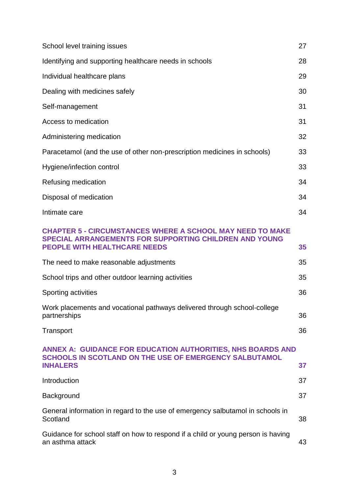| School level training issues                                                                                                                                             | 27 |
|--------------------------------------------------------------------------------------------------------------------------------------------------------------------------|----|
| Identifying and supporting healthcare needs in schools                                                                                                                   | 28 |
| Individual healthcare plans                                                                                                                                              | 29 |
| Dealing with medicines safely                                                                                                                                            | 30 |
| Self-management                                                                                                                                                          | 31 |
| Access to medication                                                                                                                                                     | 31 |
| Administering medication                                                                                                                                                 | 32 |
| Paracetamol (and the use of other non-prescription medicines in schools)                                                                                                 | 33 |
| Hygiene/infection control                                                                                                                                                | 33 |
| Refusing medication                                                                                                                                                      | 34 |
| Disposal of medication                                                                                                                                                   | 34 |
| Intimate care                                                                                                                                                            | 34 |
| <b>CHAPTER 5 - CIRCUMSTANCES WHERE A SCHOOL MAY NEED TO MAKE</b><br><b>SPECIAL ARRANGEMENTS FOR SUPPORTING CHILDREN AND YOUNG</b><br><b>PEOPLE WITH HEALTHCARE NEEDS</b> | 35 |
| The need to make reasonable adjustments                                                                                                                                  | 35 |
| School trips and other outdoor learning activities                                                                                                                       | 35 |
| Sporting activities                                                                                                                                                      | 36 |
| Work placements and vocational pathways delivered through school-college<br>partnerships                                                                                 | 36 |
| Transport                                                                                                                                                                | 36 |
| <b>ANNEX A: GUIDANCE FOR EDUCATION AUTHORITIES, NHS BOARDS AND</b><br><b>SCHOOLS IN SCOTLAND ON THE USE OF EMERGENCY SALBUTAMOL</b><br><b>INHALERS</b>                   | 37 |
| Introduction                                                                                                                                                             | 37 |
| Background                                                                                                                                                               | 37 |
| General information in regard to the use of emergency salbutamol in schools in<br>Scotland                                                                               | 38 |
| Guidance for school staff on how to respond if a child or young person is having<br>an asthma attack                                                                     | 43 |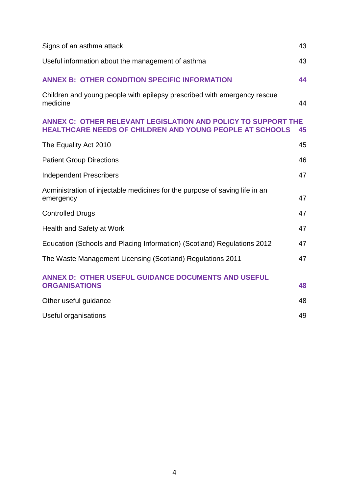| Signs of an asthma attack                                                                                                               | 43 |
|-----------------------------------------------------------------------------------------------------------------------------------------|----|
| Useful information about the management of asthma                                                                                       | 43 |
| <b>ANNEX B: OTHER CONDITION SPECIFIC INFORMATION</b>                                                                                    | 44 |
| Children and young people with epilepsy prescribed with emergency rescue<br>medicine                                                    | 44 |
| <b>ANNEX C: OTHER RELEVANT LEGISLATION AND POLICY TO SUPPORT THE</b><br><b>HEALTHCARE NEEDS OF CHILDREN AND YOUNG PEOPLE AT SCHOOLS</b> | 45 |
| The Equality Act 2010                                                                                                                   | 45 |
| <b>Patient Group Directions</b>                                                                                                         | 46 |
| <b>Independent Prescribers</b>                                                                                                          | 47 |
| Administration of injectable medicines for the purpose of saving life in an<br>emergency                                                | 47 |
| <b>Controlled Drugs</b>                                                                                                                 | 47 |
| Health and Safety at Work                                                                                                               | 47 |
| Education (Schools and Placing Information) (Scotland) Regulations 2012                                                                 | 47 |
| The Waste Management Licensing (Scotland) Regulations 2011                                                                              | 47 |
| <b>ANNEX D: OTHER USEFUL GUIDANCE DOCUMENTS AND USEFUL</b><br><b>ORGANISATIONS</b>                                                      | 48 |
| Other useful guidance                                                                                                                   | 48 |
| Useful organisations                                                                                                                    | 49 |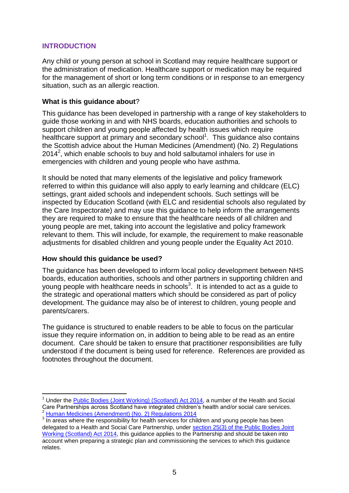# <span id="page-4-0"></span>**INTRODUCTION**

Any child or young person at school in Scotland may require healthcare support or the administration of medication. Healthcare support or medication may be required for the management of short or long term conditions or in response to an emergency situation, such as an allergic reaction.

#### <span id="page-4-1"></span>**What is this guidance about**?

This guidance has been developed in partnership with a range of key stakeholders to guide those working in and with NHS boards, education authorities and schools to support children and young people affected by health issues which require healthcare support at primary and secondary school<sup>1</sup>. This guidance also contains the Scottish advice about the Human Medicines (Amendment) (No. 2) Regulations  $2014<sup>2</sup>$ , which enable schools to buy and hold salbutamol inhalers for use in emergencies with children and young people who have asthma.

It should be noted that many elements of the legislative and policy framework referred to within this guidance will also apply to early learning and childcare (ELC) settings, grant aided schools and independent schools. Such settings will be inspected by Education Scotland (with ELC and residential schools also regulated by the Care Inspectorate) and may use this guidance to help inform the arrangements they are required to make to ensure that the healthcare needs of all children and young people are met, taking into account the legislative and policy framework relevant to them. This will include, for example, the requirement to make reasonable adjustments for disabled children and young people under the Equality Act 2010.

#### <span id="page-4-2"></span>**How should this guidance be used?**

1

The guidance has been developed to inform local policy development between NHS boards, education authorities, schools and other partners in supporting children and young people with healthcare needs in schools<sup>3</sup>. It is intended to act as a guide to the strategic and operational matters which should be considered as part of policy development. The guidance may also be of interest to children, young people and parents/carers.

The guidance is structured to enable readers to be able to focus on the particular issue they require information on, in addition to being able to be read as an entire document. Care should be taken to ensure that practitioner responsibilities are fully understood if the document is being used for reference. References are provided as footnotes throughout the document.

<sup>1</sup> Under the [Public Bodies \(Joint Working\) \(Scotland\) Act 2014,](http://www.legislation.gov.uk/asp/2014/9/introduction/enacted) a number of the Health and Social Care Partnerships across Scotland have integrated children"s health and/or social care services. <sup>2</sup> [Human Medicines \(Amendment\) \(No. 2\) Regulations 2014](http://www.legislation.gov.uk/uksi/2014/1878/contents/made)

 $3\overline{)}$  In areas where the responsibility for health services for children and young people has been delegated to a Health and Social Care Partnership, under [section 25\(3\) of the Public Bodies Joint](http://www.legislation.gov.uk/asp/2014/9/introduction/enacted)  [Working \(Scotland\) Act 2014,](http://www.legislation.gov.uk/asp/2014/9/introduction/enacted) this guidance applies to the Partnership and should be taken into account when preparing a strategic plan and commissioning the services to which this guidance relates.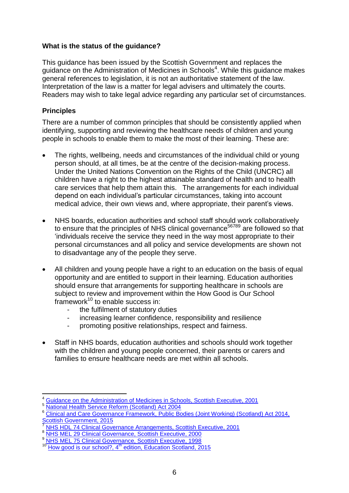# <span id="page-5-0"></span>**What is the status of the guidance?**

This guidance has been issued by the Scottish Government and replaces the guidance on the Administration of Medicines in Schools<sup>4</sup>. While this guidance makes general references to legislation, it is not an authoritative statement of the law. Interpretation of the law is a matter for legal advisers and ultimately the courts. Readers may wish to take legal advice regarding any particular set of circumstances.

# <span id="page-5-1"></span>**Principles**

There are a number of common principles that should be consistently applied when identifying, supporting and reviewing the healthcare needs of children and young people in schools to enable them to make the most of their learning. These are:

- The rights, wellbeing, needs and circumstances of the individual child or young person should, at all times, be at the centre of the decision-making process. Under the United Nations Convention on the Rights of the Child (UNCRC) all children have a right to the highest attainable standard of health and to health care services that help them attain this. The arrangements for each individual depend on each individual"s particular circumstances, taking into account medical advice, their own views and, where appropriate, their parent's views.
- NHS boards, education authorities and school staff should work collaboratively to ensure that the principles of NHS clinical governance<sup>56789</sup> are followed so that "individuals receive the service they need in the way most appropriate to their personal circumstances and all policy and service developments are shown not to disadvantage any of the people they serve.
- All children and young people have a right to an education on the basis of equal opportunity and are entitled to support in their learning. Education authorities should ensure that arrangements for supporting healthcare in schools are subject to review and improvement within the How Good is Our School framework<sup>10</sup> to enable success in:
	- the fulfilment of statutory duties
	- increasing learner confidence, responsibility and resilience
	- promoting positive relationships, respect and fairness.
- Staff in NHS boards, education authorities and schools should work together with the children and young people concerned, their parents or carers and families to ensure healthcare needs are met within all schools.

1

<sup>4</sup> [Guidance on the Administration of Medicines in Schools, Scottish Executive, 2001](http://www.gov.scot/Resource/Doc/158301/0042868.pdf)

<sup>5</sup> [National Health Service Reform \(Scotland\) Act 2004](http://www.legislation.gov.uk/asp/2004/7/contents)

<sup>6</sup> [Clinical and Care Governance Framework, Public Bodies \(Joint Working\) \(Scotland\) Act 2014,](http://www.gov.scot/Resource/0049/00491266.pdf)  [Scottish Government, 2015](http://www.gov.scot/Resource/0049/00491266.pdf)

<sup>7</sup> [NHS HDL 74 Clinical Governance Arrangements, Scottish Executive, 2001](http://www.sehd.scot.nhs.uk/mels/HDL2001_74.htm)

[NHS MEL 29 Clinical Governance, Scottish Executive, 2000](http://www.sehd.scot.nhs.uk/mels/2000_29final.htm)

[NHS MEL 75 Clinical Governance, Scottish Executive, 1998](http://www.sehd.scot.nhs.uk/mels/1998_75.htm)

How good is our school?, 4<sup>th</sup> [edition, Education Scotland, 2015](http://www.educationscotland.gov.uk/Images/HGIOS4_tcm4-870533.pdf)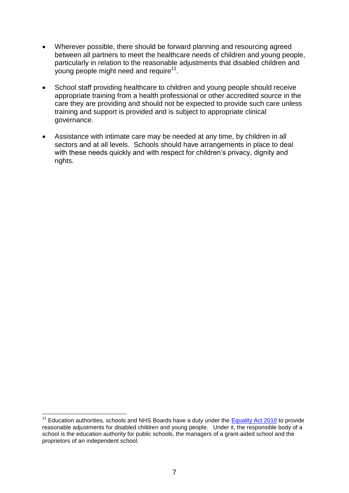- Wherever possible, there should be forward planning and resourcing agreed between all partners to meet the healthcare needs of children and young people, particularly in relation to the reasonable adjustments that disabled children and young people might need and require $11$ .
- School staff providing healthcare to children and young people should receive appropriate training from a health professional or other accredited source in the care they are providing and should not be expected to provide such care unless training and support is provided and is subject to appropriate clinical governance.
- Assistance with intimate care may be needed at any time, by children in all sectors and at all levels. Schools should have arrangements in place to deal with these needs quickly and with respect for children's privacy, dignity and rights.

1

Education authorities, schools and NHS Boards have a duty under the [Equality Act 2010](http://www.legislation.gov.uk/ukpga/2010/15/contents) to provide reasonable adjustments for disabled children and young people. Under it, the responsible body of a school is the education authority for public schools, the managers of a grant-aided school and the proprietors of an independent school.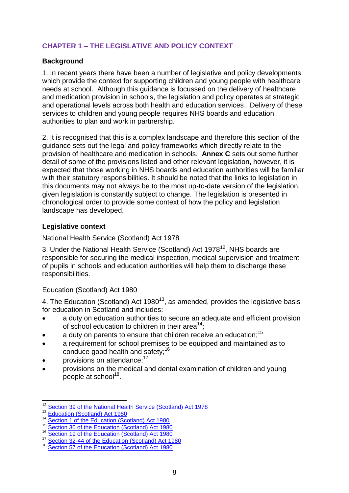# <span id="page-7-0"></span>**CHAPTER 1 – THE LEGISLATIVE AND POLICY CONTEXT**

# <span id="page-7-1"></span>**Background**

1. In recent years there have been a number of legislative and policy developments which provide the context for supporting children and young people with healthcare needs at school. Although this guidance is focussed on the delivery of healthcare and medication provision in schools, the legislation and policy operates at strategic and operational levels across both health and education services. Delivery of these services to children and young people requires NHS boards and education authorities to plan and work in partnership.

2. It is recognised that this is a complex landscape and therefore this section of the guidance sets out the legal and policy frameworks which directly relate to the provision of healthcare and medication in schools. **Annex C** sets out some further detail of some of the provisions listed and other relevant legislation, however, it is expected that those working in NHS boards and education authorities will be familiar with their statutory responsibilities. It should be noted that the links to legislation in this documents may not always be to the most up-to-date version of the legislation, given legislation is constantly subject to change. The legislation is presented in chronological order to provide some context of how the policy and legislation landscape has developed.

# <span id="page-7-2"></span>**Legislative context**

National Health Service (Scotland) Act 1978

3. Under the National Health Service (Scotland) Act 1978<sup>12</sup>, NHS boards are responsible for securing the medical inspection, medical supervision and treatment of pupils in schools and education authorities will help them to discharge these responsibilities.

Education (Scotland) Act 1980

4. The Education (Scotland) Act 1980<sup>13</sup>, as amended, provides the legislative basis for education in Scotland and includes:

- a duty on education authorities to secure an adequate and efficient provision of school education to children in their area<sup>14</sup>;
- $\bullet$  a duty on parents to ensure that children receive an education;<sup>15</sup>
- a requirement for school premises to be equipped and maintained as to conduce good health and safety;<sup>16</sup>
- provisions on attendance;<sup>17</sup>
- provisions on the medical and dental examination of children and young .<br>people at school<sup>18</sup>.

<sup>1</sup> <sup>12</sup> [Section 39 of the National Health Service \(Scotland\) Act 1978](http://www.legislation.gov.uk/ukpga/1978/29/section/39)

<sup>13</sup> [Education \(Scotland\) Act 1980](http://www.legislation.gov.uk/ukpga/1980/44/contents)

<sup>&</sup>lt;sup>14</sup> [Section 1 of the Education \(Scotland\) Act 1980](http://www.legislation.gov.uk/ukpga/1980/44)

<sup>15</sup> Section 1 of the Education (Scotland) Act 1980

<sup>16</sup> [Section 19 of the Education \(Scotland\) Act 1980](http://www.legislation.gov.uk/ukpga/1980/44/section/19)

<sup>&</sup>lt;sup>17</sup> [Section 32-44 of the Education \(Scotland\) Act 1980](http://www.legislation.gov.uk/ukpga/1980/44/contents)

<sup>&</sup>lt;sup>18</sup> [Section 57 of the Education \(Scotland\) Act 1980](http://www.legislation.gov.uk/ukpga/1980/44/section/57)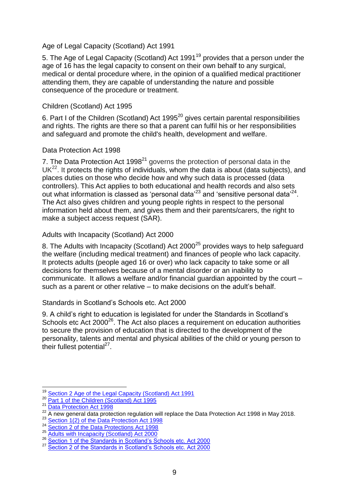#### Age of Legal Capacity (Scotland) Act 1991

5. The Age of Legal Capacity (Scotland) Act 1991<sup>19</sup> provides that a person under the age of 16 has the legal capacity to consent on their own behalf to any surgical, medical or dental procedure where, in the opinion of a qualified medical practitioner attending them, they are capable of understanding the nature and possible consequence of the procedure or treatment.

#### Children (Scotland) Act 1995

6. Part I of the Children (Scotland) Act 1995<sup>20</sup> gives certain parental responsibilities and rights. The rights are there so that a parent can fulfil his or her responsibilities and safeguard and promote the child's health, development and welfare.

#### Data Protection Act 1998

7. The Data Protection Act  $1998<sup>21</sup>$  governs the protection of personal data in the  $UK<sup>22</sup>$ . It protects the rights of individuals, whom the data is about (data subjects), and places duties on those who decide how and why such data is processed (data controllers). This Act applies to both educational and health records and also sets out what information is classed as 'personal data'<sup>23</sup> and 'sensitive personal data'<sup>24</sup>. The Act also gives children and young people rights in respect to the personal information held about them, and gives them and their parents/carers, the right to make a subject access request (SAR).

#### Adults with Incapacity (Scotland) Act 2000

8. The Adults with Incapacity (Scotland) Act 2000<sup>25</sup> provides ways to help safeguard the welfare (including medical treatment) and finances of people who lack capacity. It protects adults (people aged 16 or over) who lack capacity to take some or all decisions for themselves because of a mental disorder or an inability to communicate. It allows a welfare and/or financial guardian appointed by the court – such as a parent or other relative – to make decisions on the adult's behalf.

#### Standards in Scotland"s Schools etc. Act 2000

9. A child"s right to education is legislated for under the Standards in Scotland"s Schools etc Act 2000<sup>26</sup>. The Act also places a requirement on education authorities to secure the provision of education that is directed to the development of the personality, talents and mental and physical abilities of the child or young person to their fullest potential<sup>27</sup>.

1

<sup>&</sup>lt;sup>19</sup> [Section 2 Age of the Legal Capacity \(Scotland\) Act 1991](http://www.legislation.gov.uk/ukpga/1991/50/section/2)

<sup>20</sup> **[Part 1 of the Children \(Scotland\) Act 1995](http://www.legislation.gov.uk/ukpga/1995/36/part/I)** 

<sup>21</sup> [Data Protection Act 1998](http://www.legislation.gov.uk/ukpga/1998/29/contents)

<sup>&</sup>lt;sup>22</sup> A new general data protection regulation will replace the Data Protection Act 1998 in May 2018.

<sup>&</sup>lt;sup>23</sup> [Section 1\(2\) of the Data Protection Act 1998](http://www.legislation.gov.uk/ukpga/1998/29/section/1)

<sup>24</sup> [Section 2 of the Data Protections Act 1998](http://www.legislation.gov.uk/ukpga/1998/29/section/2)

<sup>25</sup> [Adults with Incapacity \(Scotland\) Act 2000](http://www.legislation.gov.uk/asp/2000/4/contents)

<sup>26</sup> Section 1 of the Standards in Scotland's Schools etc. Act 2000

<sup>&</sup>lt;sup>27</sup> Section 2 of the Standards in Scotland's Schools etc. Act 2000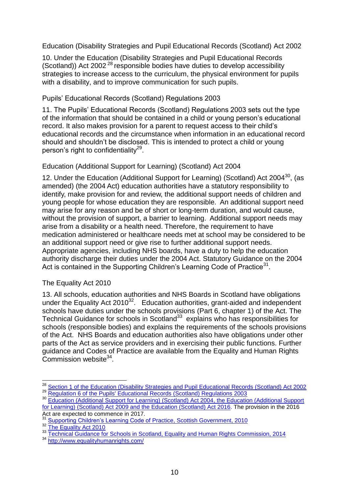Education (Disability Strategies and Pupil Educational Records (Scotland) Act 2002

10. Under the Education (Disability Strategies and Pupil Educational Records (Scotland)) Act 2002 <sup>28</sup> responsible bodies have duties to develop accessibility strategies to increase access to the curriculum, the physical environment for pupils with a disability, and to improve communication for such pupils.

# Pupils" Educational Records (Scotland) Regulations 2003

11. The Pupils" Educational Records (Scotland) Regulations 2003 sets out the type of the information that should be contained in a child or young person"s educational record. It also makes provision for a parent to request access to their child"s educational records and the circumstance when information in an educational record should and shouldn"t be disclosed. This is intended to protect a child or young person's right to confidentiality<sup>29</sup>.

# Education (Additional Support for Learning) (Scotland) Act 2004

12. Under the Education (Additional Support for Learning) (Scotland) Act 2004 $^{30}$ , (as amended) (the 2004 Act) education authorities have a statutory responsibility to identify, make provision for and review, the additional support needs of children and young people for whose education they are responsible. An additional support need may arise for any reason and be of short or long-term duration, and would cause, without the provision of support, a barrier to learning. Additional support needs may arise from a disability or a health need. Therefore, the requirement to have medication administered or healthcare needs met at school may be considered to be an additional support need or give rise to further additional support needs. Appropriate agencies, including NHS boards, have a duty to help the education authority discharge their duties under the 2004 Act. Statutory Guidance on the 2004 Act is contained in the Supporting Children's Learning Code of Practice<sup>31</sup>.

#### The Equality Act 2010

13. All schools, education authorities and NHS Boards in Scotland have obligations under the Equality Act 2010<sup>32</sup>. Education authorities, grant-aided and independent schools have duties under the schools provisions (Part 6, chapter 1) of the Act. The Technical Guidance for schools in Scotland $33$  explains who has responsibilities for schools (responsible bodies) and explains the requirements of the schools provisions of the Act. NHS Boards and education authorities also have obligations under other parts of the Act as service providers and in exercising their public functions. Further guidance and Codes of Practice are available from the Equality and Human Rights Commission website<sup>34</sup>.

1

<sup>34</sup> <http://www.equalityhumanrights.com/>

<sup>&</sup>lt;sup>28</sup> [Section 1 of the Education \(Disability Strategies and Pupil Educational](http://www.legislation.gov.uk/asp/2002/12/crossheading/accessibility-strategies) Records (Scotland) Act 2002

<sup>29</sup> [Regulation 6 of the Pupils' Educational Records \(Scotland\) Regulations 2003](http://www.legislation.gov.uk/ssi/2003/581/regulation/6/made)

<sup>&</sup>lt;sup>30</sup> [Education \(Additional Support for Learning\) \(Scotland\) Act 2004,](http://www.legislation.gov.uk/asp/2004/4/section/5) the Education (Additional Support [for Learning\) \(Scotland\) Act 2009](http://www.legislation.gov.uk/asp/2009/7/contents) and the [Education \(Scotland\) Act 2016.](http://www.legislation.gov.uk/asp/2016/8/contents/enacted) The provision in the 2016 Act are expected to commence in 2017.

<sup>31</sup> [Supporting Children"s Learning Code of Practice, Scottish Government, 2010](http://www.gov.scot/Publications/2011/04/04090720/0)

<sup>32 &</sup>lt;u>Supporting States</u>

<sup>33</sup> [Technical Guidance for Schools in Scotland, Equality and Human Rights Commission, 2014](https://www.equalityhumanrights.com/sites/default/files/equalityact2010-technicalguidance-schoolsinscotland-2015_0.pdf)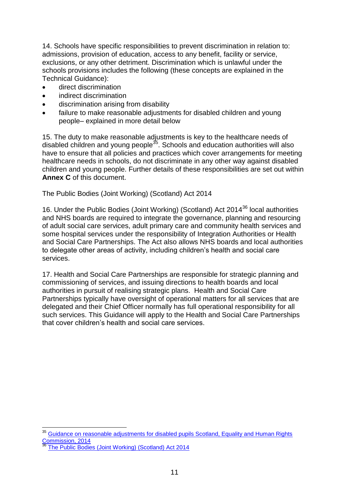14. Schools have specific responsibilities to prevent discrimination in relation to: admissions, provision of education, access to any benefit, facility or service, exclusions, or any other detriment. Discrimination which is unlawful under the schools provisions includes the following (these concepts are explained in the Technical Guidance):

- direct discrimination
- **•** indirect discrimination
- discrimination arising from disability
- failure to make reasonable adjustments for disabled children and young people– explained in more detail below

15. The duty to make reasonable adjustments is key to the healthcare needs of disabled children and young people<sup>35</sup>. Schools and education authorities will also have to ensure that all policies and practices which cover arrangements for meeting healthcare needs in schools, do not discriminate in any other way against disabled children and young people. Further details of these responsibilities are set out within **Annex C** of this document.

The Public Bodies (Joint Working) (Scotland) Act 2014

16. Under the Public Bodies (Joint Working) (Scotland) Act 2014<sup>36</sup> local authorities and NHS boards are required to integrate the governance, planning and resourcing of adult social care services, adult primary care and community health services and some hospital services under the responsibility of Integration Authorities or Health and Social Care Partnerships. The Act also allows NHS boards and local authorities to delegate other areas of activity, including children"s health and social care services.

17. Health and Social Care Partnerships are responsible for strategic planning and commissioning of services, and issuing directions to health boards and local authorities in pursuit of realising strategic plans. Health and Social Care Partnerships typically have oversight of operational matters for all services that are delegated and their Chief Officer normally has full operational responsibility for all such services. This Guidance will apply to the Health and Social Care Partnerships that cover children"s health and social care services.

1

<sup>&</sup>lt;sup>35</sup> Guidance on reasonable adjustments for disabled pupils Scotland, Equality and Human Rights [Commission, 2014](http://www.equalityhumanrights.com/sites/default/files/reasonable_adjustments_for_disabled_pupils_scotland_0.pdf)

[The Public Bodies \(Joint Working\) \(Scotland\) Act 2014](http://www.legislation.gov.uk/asp/2014/9/contents/enacted)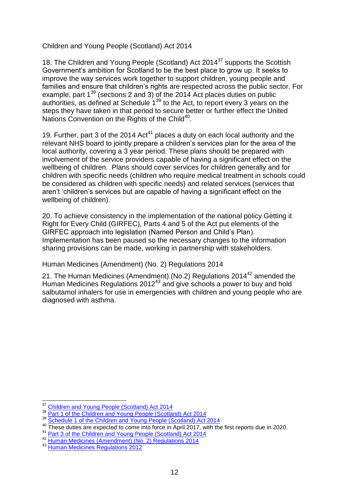# Children and Young People (Scotland) Act 2014

18. The Children and Young People (Scotland) Act 2014<sup>37</sup> supports the Scottish Government"s ambition for Scotland to be the best place to grow up. It seeks to improve the way services work together to support children, young people and families and ensure that children"s rights are respected across the public sector. For example, part  $1^{38}$  (sections 2 and 3) of the 2014 Act places duties on public authorities, as defined at Schedule 1<sup>39</sup> to the Act, to report every 3 years on the steps they have taken in that period to secure better or further effect the United Nations Convention on the Rights of the Child<sup>40</sup>.

19. Further, part 3 of the 2014  $Act^{41}$  places a duty on each local authority and the relevant NHS board to jointly prepare a children"s services plan for the area of the local authority, covering a 3 year period. These plans should be prepared with involvement of the service providers capable of having a significant effect on the wellbeing of children. Plans should cover services for children generally and for children with specific needs (children who require medical treatment in schools could be considered as children with specific needs) and related services (services that aren"t "children"s services but are capable of having a significant effect on the wellbeing of children).

20. To achieve consistency in the implementation of the national policy Getting it Right for Every Child (GIRFEC), Parts 4 and 5 of the Act put elements of the GIRFEC approach into legislation (Named Person and Child"s Plan). Implementation has been paused so the necessary changes to the information sharing provisions can be made, working in partnership with stakeholders.

#### Human Medicines (Amendment) (No. 2) Regulations 2014

21. The Human Medicines (Amendment) (No.2) Regulations 2014<sup>42</sup> amended the Human Medicines Regulations  $2012^{43}$  and give schools a power to buy and hold salbutamol inhalers for use in emergencies with children and young people who are diagnosed with asthma.

<sup>1</sup> <sup>37</sup> [Children and Young People \(Scotland\) Act 2014](http://www.legislation.gov.uk/asp/2014/8/contents)

<sup>&</sup>lt;sup>38</sup> [Part 1 of the Children and Young People \(Scotland\) Act 2014](http://www.legislation.gov.uk/asp/2014/8/part/1)

<sup>&</sup>lt;sup>39</sup> [Schedule 1 of the Children and Young People \(Scotland\) Act 2014](http://www.legislation.gov.uk/asp/2014/8/schedule/1)

<sup>40</sup> These duties are expected to come into force in April 2017, with the first reports due in 2020.

<sup>&</sup>lt;sup>41</sup> [Part 3 of the Children and Young People \(Scotland\) Act 2014](http://www.legislation.gov.uk/asp/2014/8/part/3/enacted)

<sup>42</sup> [Human Medicines \(Amendment\) \(No. 2\) Regulations 2014](http://www.legislation.gov.uk/uksi/2014/1878/made/data.pdf)

<sup>43</sup> [Human Medicines Regulations 2012](http://www.legislation.gov.uk/uksi/2012/1916/contents/made)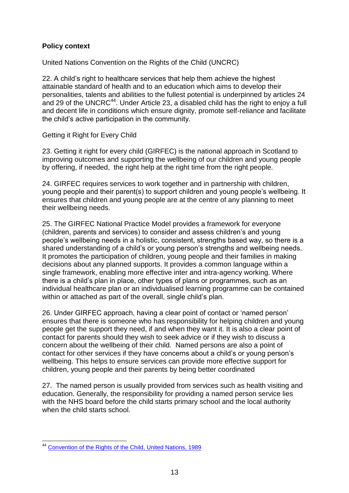# <span id="page-12-0"></span>**Policy context**

United Nations Convention on the Rights of the Child (UNCRC)

22. A child"s right to healthcare services that help them achieve the highest attainable standard of health and to an education which aims to develop their personalities, talents and abilities to the fullest potential is underpinned by articles 24 and 29 of the UNCRC $44$ . Under Article 23, a disabled child has the right to enjoy a full and decent life in conditions which ensure dignity, promote self-reliance and facilitate the child"s active participation in the community.

Getting it Right for Every Child

23. Getting it right for every child (GIRFEC) is the national approach in Scotland to improving outcomes and supporting the wellbeing of our children and young people by offering, if needed, the right help at the right time from the right people.

24. GIRFEC requires services to work together and in partnership with children, young people and their parent(s) to support children and young people"s wellbeing. It ensures that children and young people are at the centre of any planning to meet their wellbeing needs.

25. The GIRFEC National Practice Model provides a framework for everyone (children, parents and services) to consider and assess children"s and young people"s wellbeing needs in a holistic, consistent, strengths based way, so there is a shared understanding of a child's or young person's strengths and wellbeing needs. It promotes the participation of children, young people and their families in making decisions about any planned supports. It provides a common language within a single framework, enabling more effective inter and intra-agency working. Where there is a child"s plan in place, other types of plans or programmes, such as an individual healthcare plan or an individualised learning programme can be contained within or attached as part of the overall, single child's plan.

26. Under GIRFEC approach, having a clear point of contact or "named person" ensures that there is someone who has responsibility for helping children and young people get the support they need, if and when they want it. It is also a clear point of contact for parents should they wish to seek advice or if they wish to discuss a concern about the wellbeing of their child. Named persons are also a point of contact for other services if they have concerns about a child"s or young person"s wellbeing. This helps to ensure services can provide more effective support for children, young people and their parents by being better coordinated

27. The named person is usually provided from services such as health visiting and education. Generally, the responsibility for providing a named person service lies with the NHS board before the child starts primary school and the local authority when the child starts school.

<sup>1</sup> <sup>44</sup> [Convention of the Rights of the Child, United Nations, 1989](http://www.ohchr.org/en/professionalinterest/pages/CRC.aspx)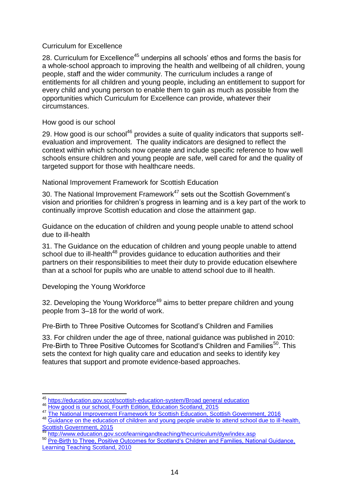# Curriculum for Excellence

28. Curriculum for Excellence<sup>45</sup> underpins all schools' ethos and forms the basis for a whole-school approach to improving the health and wellbeing of all children, young people, staff and the wider community. The curriculum includes a range of entitlements for all children and young people, including an entitlement to support for every child and young person to enable them to gain as much as possible from the opportunities which Curriculum for Excellence can provide, whatever their circumstances.

How good is our school

29. How good is our school $46$  provides a suite of quality indicators that supports selfevaluation and improvement. The quality indicators are designed to reflect the context within which schools now operate and include specific reference to how well schools ensure children and young people are safe, well cared for and the quality of targeted support for those with healthcare needs.

National Improvement Framework for Scottish Education

30. The National Improvement Framework<sup>47</sup> sets out the Scottish Government's vision and priorities for children"s progress in learning and is a key part of the work to continually improve Scottish education and close the attainment gap.

Guidance on the education of children and young people unable to attend school due to ill-health

31. The Guidance on the education of children and young people unable to attend school due to ill-health<sup>48</sup> provides guidance to education authorities and their partners on their responsibilities to meet their duty to provide education elsewhere than at a school for pupils who are unable to attend school due to ill health.

Developing the Young Workforce

32. Developing the Young Workforce<sup>49</sup> aims to better prepare children and young people from 3–18 for the world of work.

Pre-Birth to Three Positive Outcomes for Scotland"s Children and Families

33. For children under the age of three, national guidance was published in 2010: Pre-Birth to Three Positive Outcomes for Scotland's Children and Families<sup>50</sup>. This sets the context for high quality care and education and seeks to identify key features that support and promote evidence-based approaches.

<sup>1</sup> <sup>45</sup> [https://education.gov.scot/scottish-education-system/Broad general education](https://education.gov.scot/scottish-education-system/Broad%20general%20education)

<sup>46</sup> [How good is our school, Fourth Edition, Education Scotland, 2015](https://education.gov.scot/improvement/Pages/frwk2hgios.aspx)

<sup>47</sup> [The National Improvement Framework for Scottish Education, Scottish Government, 2016](http://www.gov.scot/Resource/0049/00491758.pdf)

<sup>48</sup> Guidance on the education of children and young people unable to attend school due to ill-health, [Scottish Government, 2015](http://www.gov.scot/Publications/2015/06/6846)

[http://www.education.gov.scot/learningandteaching/thecurriculum/dyw/index.asp](https://education.gov.scot/scottish-education-system/policy-for-scottish-education/policy-drivers/Developing%20the%20Young%20Workforce)

<sup>50</sup> Pre-Birth to Three, Positive Outcomes for Scotland's Children and Families, National Guidance, [Learning Teaching Scotland, 2010](https://education.gov.scot/improvement/Pages/elc2prebirthtothree.aspx)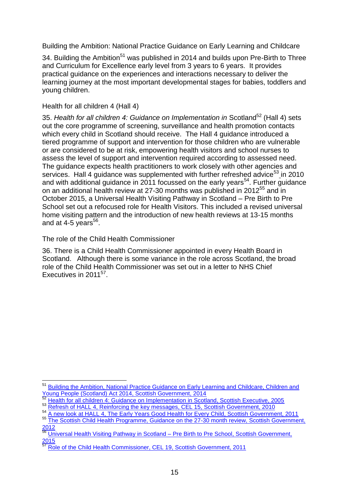Building the Ambition: National Practice Guidance on Early Learning and Childcare

34. Building the Ambition<sup>51</sup> was published in 2014 and builds upon Pre-Birth to Three and Curriculum for Excellence early level from 3 years to 6 years. It provides practical guidance on the experiences and interactions necessary to deliver the learning journey at the most important developmental stages for babies, toddlers and young children.

# Health for all children 4 (Hall 4)

35. *Health for all children 4: Guidance on Implementation in Scotland*<sup>52</sup> (Hall 4) sets out the core programme of screening, surveillance and health promotion contacts which every child in Scotland should receive. The Hall 4 guidance introduced a tiered programme of support and intervention for those children who are vulnerable or are considered to be at risk, empowering health visitors and school nurses to assess the level of support and intervention required according to assessed need. The guidance expects health practitioners to work closely with other agencies and services. Hall 4 guidance was supplemented with further refreshed advice<sup>53</sup> in 2010 and with additional guidance in 2011 focussed on the early years<sup>54</sup>. Further guidance on an additional health review at 27-30 months was published in 2012<sup>55</sup> and in October 2015, a Universal Health Visiting Pathway in Scotland – Pre Birth to Pre School set out a refocused role for Health Visitors. This included a revised universal home visiting pattern and the introduction of new health reviews at 13-15 months and at 4-5 years $^{56}$ .

The role of the Child Health Commissioner

36. There is a Child Health Commissioner appointed in every Health Board in Scotland. Although there is some variance in the role across Scotland, the broad role of the Child Health Commissioner was set out in a letter to NHS Chief Executives in 2011<sup>57</sup>.

<sup>1</sup> <sup>51</sup> Building the Ambition, National Practice Guidance on Early Learning and Childcare, Children and [Young People \(Scotland\) Act 2014, Scottish Government, 2014](http://www.gov.scot/Resource/0045/00458455.pdf)

<sup>52</sup> [Health for all children 4: Guidance on Implementation in Scotland, Scottish Executive, 2005](http://www.gov.scot/Publications/2005/04/15161325/13269)

<sup>53</sup> Refresh of <u>HALL 4, Reinforcing the key messages, CEL 15, Scottish Government, 2010</u>

<sup>54</sup> [A new look at HALL 4, The Early Years Good Health for Every Child, Scottish Government, 2011](http://www.gov.scot/resource/doc/337318/0110676.pdf)

<sup>55</sup> The Scottish Child Health Programme, Guidance on the 27-30 month review, Scottish Government, [2012](http://www.gov.scot/Publications/2012/12/1478/0)

 $\frac{56.12}{66}$  [Universal Health Visiting Pathway in Scotland –](http://www.gov.scot/Publications/2015/10/9697) Pre Birth to Pre School, Scottish Government,  $\frac{2015}{57}$  $\frac{2015}{57}$  $\frac{2015}{57}$ 

<sup>57</sup> [Role of the Child Health Commissioner, CEL 19, Scottish Government, 2011](http://www.sehd.scot.nhs.uk/mels/CEL2011_19.pdf)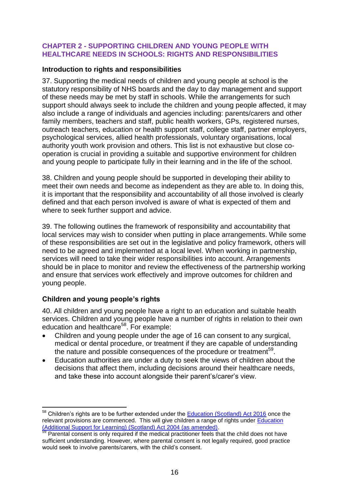#### <span id="page-15-0"></span>**CHAPTER 2 - SUPPORTING CHILDREN AND YOUNG PEOPLE WITH HEALTHCARE NEEDS IN SCHOOLS: RIGHTS AND RESPONSIBILITIES**

#### <span id="page-15-1"></span>**Introduction to rights and responsibilities**

37. Supporting the medical needs of children and young people at school is the statutory responsibility of NHS boards and the day to day management and support of these needs may be met by staff in schools. While the arrangements for such support should always seek to include the children and young people affected, it may also include a range of individuals and agencies including: parents/carers and other family members, teachers and staff, public health workers, GPs, registered nurses, outreach teachers, education or health support staff, college staff, partner employers, psychological services, allied health professionals, voluntary organisations, local authority youth work provision and others. This list is not exhaustive but close cooperation is crucial in providing a suitable and supportive environment for children and young people to participate fully in their learning and in the life of the school.

38. Children and young people should be supported in developing their ability to meet their own needs and become as independent as they are able to. In doing this, it is important that the responsibility and accountability of all those involved is clearly defined and that each person involved is aware of what is expected of them and where to seek further support and advice.

39. The following outlines the framework of responsibility and accountability that local services may wish to consider when putting in place arrangements. While some of these responsibilities are set out in the legislative and policy framework, others will need to be agreed and implemented at a local level. When working in partnership, services will need to take their wider responsibilities into account. Arrangements should be in place to monitor and review the effectiveness of the partnership working and ensure that services work effectively and improve outcomes for children and young people.

# <span id="page-15-2"></span>**Children and young people's rights**

1

40. All children and young people have a right to an education and suitable health services. Children and young people have a number of rights in relation to their own education and healthcare<sup>58</sup>. For example:

- Children and young people under the age of 16 can consent to any surgical, medical or dental procedure, or treatment if they are capable of understanding the nature and possible consequences of the procedure or treatment<sup>59</sup>.
- Education authorities are under a duty to seek the views of children about the decisions that affect them, including decisions around their healthcare needs, and take these into account alongside their parent"s/carer"s view.

<sup>&</sup>lt;sup>58</sup> Children's rights are to be further extended under the **Education (Scotland) Act 2016** once the relevant provisions are commenced. This will give children a range of rights under [Education](http://www.legislation.gov.uk/asp/2004/4/contents)  [\(Additional Support for Learning\) \(Scotland\) Act 2004 \(as amended\).](http://www.legislation.gov.uk/asp/2004/4/contents)

 $59$  Parental consent is only required if the medical practitioner feels that the child does not have sufficient understanding. However, where parental consent is not legally required, good practice would seek to involve parents/carers, with the child"s consent.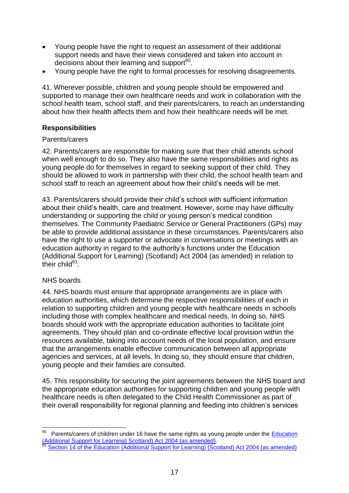- Young people have the right to request an assessment of their additional support needs and have their views considered and taken into account in decisions about their learning and support<sup>60</sup>.
- Young people have the right to formal processes for resolving disagreements.

41. Wherever possible, children and young people should be empowered and supported to manage their own healthcare needs and work in collaboration with the school health team, school staff, and their parents/carers, to reach an understanding about how their health affects them and how their healthcare needs will be met.

# <span id="page-16-0"></span>**Responsibilities**

# Parents/carers

42. Parents/carers are responsible for making sure that their child attends school when well enough to do so. They also have the same responsibilities and rights as young people do for themselves in regard to seeking support of their child. They should be allowed to work in partnership with their child, the school health team and school staff to reach an agreement about how their child"s needs will be met.

43. Parents/carers should provide their child"s school with sufficient information about their child"s health, care and treatment. However, some may have difficulty understanding or supporting the child or young person"s medical condition themselves. The Community Paediatric Service or General Practitioners (GPs) may be able to provide additional assistance in these circumstances. Parents/carers also have the right to use a supporter or advocate in conversations or meetings with an education authority in regard to the authority"s functions under the Education (Additional Support for Learning) (Scotland) Act 2004 (as amended) in relation to their child $61$ .

# NHS boards

44. NHS boards must ensure that appropriate arrangements are in place with education authorities, which determine the respective responsibilities of each in relation to supporting children and young people with healthcare needs in schools including those with complex healthcare and medical needs. In doing so, NHS boards should work with the appropriate education authorities to facilitate joint agreements. They should plan and co-ordinate effective local provision within the resources available, taking into account needs of the local population, and ensure that the arrangements enable effective communication between all appropriate agencies and services, at all levels. In doing so, they should ensure that children, young people and their families are consulted.

45. This responsibility for securing the joint agreements between the NHS board and the appropriate education authorities for supporting children and young people with healthcare needs is often delegated to the Child Health Commissioner as part of their overall responsibility for regional planning and feeding into children"s services

 60 Parents/carers of children under 16 have the same rights as young people under the [Education](http://www.legislation.gov.uk/asp/2004/4/contents)  [\(Additional Support for Learning\) Scotland\) Act 2004 \(as amended\).](http://www.legislation.gov.uk/asp/2004/4/contents)

<sup>61</sup> [Section 14 of the Education \(Additional Support for Learning\) \(Scotland\) Act 2004 \(as amended\)](http://www.legislation.gov.uk/asp/2004/4/section/14)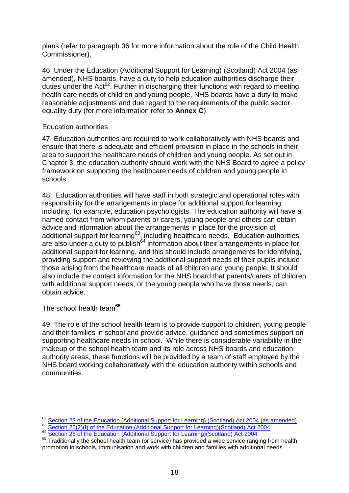plans (refer to paragraph 36 for more information about the role of the Child Health Commissioner).

46. Under the Education (Additional Support for Learning) (Scotland) Act 2004 (as amended), NHS boards, have a duty to help education authorities discharge their duties under the Act $^{62}$ . Further in discharging their functions with regard to meeting health care needs of children and young people, NHS boards have a duty to make reasonable adjustments and due regard to the requirements of the public sector equality duty (for more information refer to **Annex C**).

# Education authorities

47. Education authorities are required to work collaboratively with NHS boards and ensure that there is adequate and efficient provision in place in the schools in their area to support the healthcare needs of children and young people. As set out in Chapter 3, the education authority should work with the NHS Board to agree a policy framework on supporting the healthcare needs of children and young people in schools.

48. Education authorities will have staff in both strategic and operational roles with responsibility for the arrangements in place for additional support for learning, including, for example, education psychologists. The education authority will have a named contact from whom parents or carers, young people and others can obtain advice and information about the arrangements in place for the provision of additional support for learning<sup>63</sup>, including healthcare needs. Education authorities are also under a duty to publish $64$  information about their arrangements in place for additional support for learning, and this should include arrangements for identifying, providing support and reviewing the additional support needs of their pupils include those arising from the healthcare needs of all children and young people. It should also include the contact information for the NHS board that parents/carers of children with additional support needs, or the young people who have those needs, can obtain advice.

The school health team**<sup>65</sup>**

49. The role of the school health team is to provide support to children, young people and their families in school and provide advice, guidance and sometimes support on supporting healthcare needs in school. While there is considerable variability in the makeup of the school health team and its role across NHS boards and education authority areas, these functions will be provided by a team of staff employed by the NHS board working collaboratively with the education authority within schools and communities.

<sup>62</sup>  $^{62}$  [Section 23 of the Education \(Additional Support for Learning\) \(Scotland\) Act 2004 \(as amended\)](http://www.legislation.gov.uk/asp/2004/4/section/23)<br> $^{63}$  Section 26(2)(f) of the Education (Additional Support for Learning) (Scotland) Act 2004

**[Section 26\(2\)\(f\) of the Education \(Additional Support for Learning\)\(Scotland\) Act 2004](http://www.legislation.gov.uk/asp/2004/4/section/26)** 

<sup>64</sup> [Section 26 of the Education \(Additional Support for Learning\)\(Scotland\) Act 2004](http://www.legislation.gov.uk/asp/2004/4/section/26)

<sup>65</sup> Traditionally the school health team (or service) has provided a wide service ranging from health promotion in schools, immunisation and work with children and families with additional needs.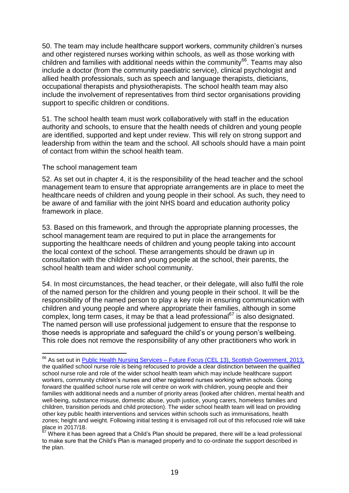50. The team may include healthcare support workers, community children"s nurses and other registered nurses working within schools, as well as those working with children and families with additional needs within the community<sup>66</sup>. Teams may also include a doctor (from the community paediatric service), clinical psychologist and allied health professionals, such as speech and language therapists, dieticians, occupational therapists and physiotherapists. The school health team may also include the involvement of representatives from third sector organisations providing support to specific children or conditions.

51. The school health team must work collaboratively with staff in the education authority and schools, to ensure that the health needs of children and young people are identified, supported and kept under review. This will rely on strong support and leadership from within the team and the school. All schools should have a main point of contact from within the school health team.

#### The school management team

1

52. As set out in chapter 4, it is the responsibility of the head teacher and the school management team to ensure that appropriate arrangements are in place to meet the healthcare needs of children and young people in their school. As such, they need to be aware of and familiar with the joint NHS board and education authority policy framework in place.

53. Based on this framework, and through the appropriate planning processes, the school management team are required to put in place the arrangements for supporting the healthcare needs of children and young people taking into account the local context of the school. These arrangements should be drawn up in consultation with the children and young people at the school, their parents, the school health team and wider school community.

54. In most circumstances, the head teacher, or their delegate, will also fulfil the role of the named person for the children and young people in their school. It will be the responsibility of the named person to play a key role in ensuring communication with children and young people and where appropriate their families, although in some complex, long term cases, it may be that a lead professional<sup>67</sup> is also designated. The named person will use professional judgement to ensure that the response to those needs is appropriate and safeguard the child"s or young person"s wellbeing. This role does not remove the responsibility of any other practitioners who work in

<sup>&</sup>lt;sup>66</sup> As set out in **Public Health Nursing Services – [Future Focus \(CEL 13\), Scottish Government, 2013,](http://www.sehd.scot.nhs.uk/mels/CEL2013_13.pdf)** the qualified school nurse role is being refocused to provide a clear distinction between the qualified school nurse role and role of the wider school health team which may include healthcare support workers, community children"s nurses and other registered nurses working within schools. Going forward the qualified school nurse role will centre on work with children, young people and their families with additional needs and a number of priority areas (looked after children, mental health and well-being, substance misuse, domestic abuse, youth justice, young carers, homeless families and children, transition periods and child protection). The wider school health team will lead on providing other key public health interventions and services within schools such as immunisations, health zones; height and weight. Following initial testing it is envisaged roll out of this refocused role will take place in 2017/18.

 $67$  Where it has been agreed that a Child's Plan should be prepared, there will be a lead professional to make sure that the Child"s Plan is managed properly and to co-ordinate the support described in the plan.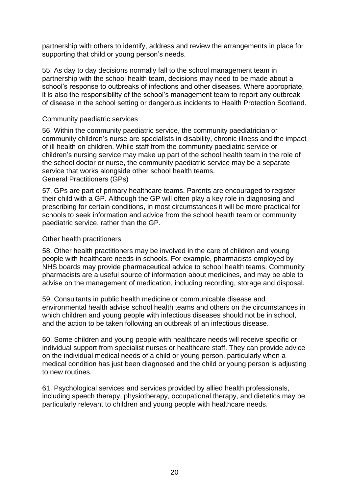partnership with others to identify, address and review the arrangements in place for supporting that child or young person's needs.

55. As day to day decisions normally fall to the school management team in partnership with the school health team, decisions may need to be made about a school"s response to outbreaks of infections and other diseases. Where appropriate, it is also the responsibility of the school"s management team to report any outbreak of disease in the school setting or dangerous incidents to Health Protection Scotland.

#### Community paediatric services

56. Within the community paediatric service, the community paediatrician or community children"s nurse are specialists in disability, chronic illness and the impact of ill health on children. While staff from the community paediatric service or children"s nursing service may make up part of the school health team in the role of the school doctor or nurse, the community paediatric service may be a separate service that works alongside other school health teams. General Practitioners (GPs)

57. GPs are part of primary healthcare teams. Parents are encouraged to register their child with a GP. Although the GP will often play a key role in diagnosing and prescribing for certain conditions, in most circumstances it will be more practical for schools to seek information and advice from the school health team or community paediatric service, rather than the GP.

#### Other health practitioners

58. Other health practitioners may be involved in the care of children and young people with healthcare needs in schools. For example, pharmacists employed by NHS boards may provide pharmaceutical advice to school health teams. Community pharmacists are a useful source of information about medicines, and may be able to advise on the management of medication, including recording, storage and disposal.

59. Consultants in public health medicine or communicable disease and environmental health advise school health teams and others on the circumstances in which children and young people with infectious diseases should not be in school, and the action to be taken following an outbreak of an infectious disease.

60. Some children and young people with healthcare needs will receive specific or individual support from specialist nurses or healthcare staff. They can provide advice on the individual medical needs of a child or young person, particularly when a medical condition has just been diagnosed and the child or young person is adjusting to new routines.

61. Psychological services and services provided by allied health professionals, including speech therapy, physiotherapy, occupational therapy, and dietetics may be particularly relevant to children and young people with healthcare needs.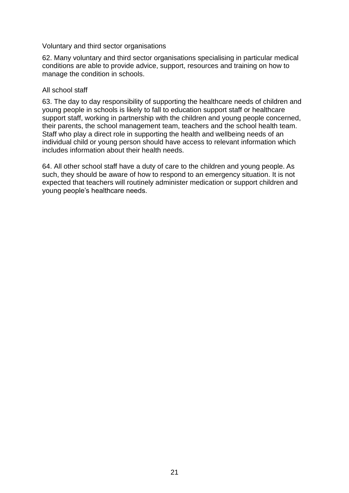#### Voluntary and third sector organisations

62. Many voluntary and third sector organisations specialising in particular medical conditions are able to provide advice, support, resources and training on how to manage the condition in schools.

#### All school staff

63. The day to day responsibility of supporting the healthcare needs of children and young people in schools is likely to fall to education support staff or healthcare support staff, working in partnership with the children and young people concerned, their parents, the school management team, teachers and the school health team. Staff who play a direct role in supporting the health and wellbeing needs of an individual child or young person should have access to relevant information which includes information about their health needs.

64. All other school staff have a duty of care to the children and young people. As such, they should be aware of how to respond to an emergency situation. It is not expected that teachers will routinely administer medication or support children and young people"s healthcare needs.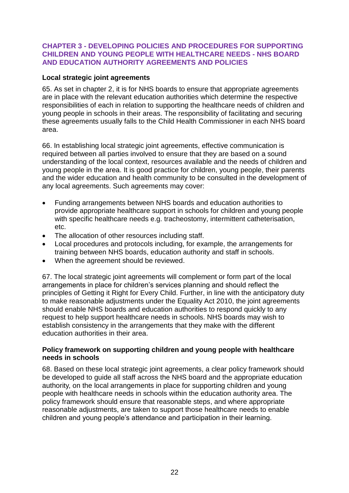# <span id="page-21-0"></span>**CHAPTER 3 - DEVELOPING POLICIES AND PROCEDURES FOR SUPPORTING CHILDREN AND YOUNG PEOPLE WITH HEALTHCARE NEEDS - NHS BOARD AND EDUCATION AUTHORITY AGREEMENTS AND POLICIES**

# <span id="page-21-1"></span>**Local strategic joint agreements**

65. As set in chapter 2, it is for NHS boards to ensure that appropriate agreements are in place with the relevant education authorities which determine the respective responsibilities of each in relation to supporting the healthcare needs of children and young people in schools in their areas. The responsibility of facilitating and securing these agreements usually falls to the Child Health Commissioner in each NHS board area.

66. In establishing local strategic joint agreements, effective communication is required between all parties involved to ensure that they are based on a sound understanding of the local context, resources available and the needs of children and young people in the area. It is good practice for children, young people, their parents and the wider education and health community to be consulted in the development of any local agreements. Such agreements may cover:

- Funding arrangements between NHS boards and education authorities to provide appropriate healthcare support in schools for children and young people with specific healthcare needs e.g. tracheostomy, intermittent catheterisation, etc.
- The allocation of other resources including staff.
- Local procedures and protocols including, for example, the arrangements for training between NHS boards, education authority and staff in schools.
- When the agreement should be reviewed.

67. The local strategic joint agreements will complement or form part of the local arrangements in place for children"s services planning and should reflect the principles of Getting it Right for Every Child. Further, in line with the anticipatory duty to make reasonable adjustments under the Equality Act 2010, the joint agreements should enable NHS boards and education authorities to respond quickly to any request to help support healthcare needs in schools. NHS boards may wish to establish consistency in the arrangements that they make with the different education authorities in their area.

#### <span id="page-21-2"></span>**Policy framework on supporting children and young people with healthcare needs in schools**

68. Based on these local strategic joint agreements, a clear policy framework should be developed to guide all staff across the NHS board and the appropriate education authority, on the local arrangements in place for supporting children and young people with healthcare needs in schools within the education authority area. The policy framework should ensure that reasonable steps, and where appropriate reasonable adjustments, are taken to support those healthcare needs to enable children and young people"s attendance and participation in their learning.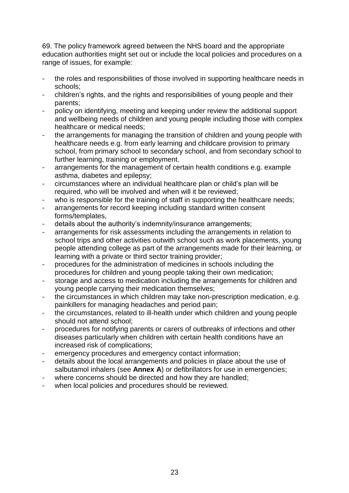69. The policy framework agreed between the NHS board and the appropriate education authorities might set out or include the local policies and procedures on a range of issues, for example:

- the roles and responsibilities of those involved in supporting healthcare needs in schools;
- children"s rights, and the rights and responsibilities of young people and their parents;
- policy on identifying, meeting and keeping under review the additional support and wellbeing needs of children and young people including those with complex healthcare or medical needs;
- the arrangements for managing the transition of children and young people with healthcare needs e.g. from early learning and childcare provision to primary school, from primary school to secondary school, and from secondary school to further learning, training or employment.
- arrangements for the management of certain health conditions e.g. example asthma, diabetes and epilepsy;
- circumstances where an individual healthcare plan or child"s plan will be required, who will be involved and when will it be reviewed;
- who is responsible for the training of staff in supporting the healthcare needs;
- arrangements for record keeping including standard written consent forms/templates,
- details about the authority's indemnity/insurance arrangements;
- arrangements for risk assessments including the arrangements in relation to school trips and other activities outwith school such as work placements, young people attending college as part of the arrangements made for their learning, or learning with a private or third sector training provider;
- procedures for the administration of medicines in schools including the procedures for children and young people taking their own medication;
- storage and access to medication including the arrangements for children and young people carrying their medication themselves;
- the circumstances in which children may take non-prescription medication, e.g. painkillers for managing headaches and period pain;
- the circumstances, related to ill-health under which children and young people should not attend school;
- procedures for notifying parents or carers of outbreaks of infections and other diseases particularly when children with certain health conditions have an increased risk of complications;
- emergency procedures and emergency contact information;
- details about the local arrangements and policies in place about the use of salbutamol inhalers (see **Annex A**) or defibrillators for use in emergencies;
- where concerns should be directed and how they are handled;
- when local policies and procedures should be reviewed.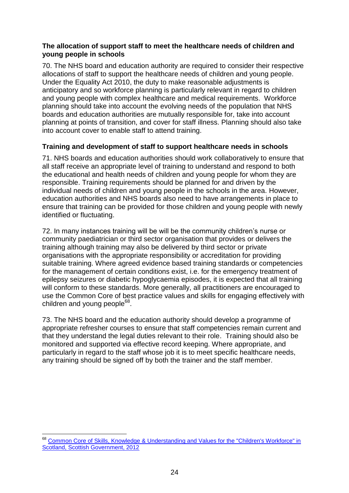#### <span id="page-23-0"></span>**The allocation of support staff to meet the healthcare needs of children and young people in schools**

70. The NHS board and education authority are required to consider their respective allocations of staff to support the healthcare needs of children and young people. Under the Equality Act 2010, the duty to make reasonable adjustments is anticipatory and so workforce planning is particularly relevant in regard to children and young people with complex healthcare and medical requirements. Workforce planning should take into account the evolving needs of the population that NHS boards and education authorities are mutually responsible for, take into account planning at points of transition, and cover for staff illness. Planning should also take into account cover to enable staff to attend training.

# <span id="page-23-1"></span>**Training and development of staff to support healthcare needs in schools**

71. NHS boards and education authorities should work collaboratively to ensure that all staff receive an appropriate level of training to understand and respond to both the educational and health needs of children and young people for whom they are responsible. Training requirements should be planned for and driven by the individual needs of children and young people in the schools in the area. However, education authorities and NHS boards also need to have arrangements in place to ensure that training can be provided for those children and young people with newly identified or fluctuating.

72. In many instances training will be will be the community children"s nurse or community paediatrician or third sector organisation that provides or delivers the training although training may also be delivered by third sector or private organisations with the appropriate responsibility or accreditation for providing suitable training. Where agreed evidence based training standards or competencies for the management of certain conditions exist, i.e. for the emergency treatment of epilepsy seizures or diabetic hypoglycaemia episodes, it is expected that all training will conform to these standards. More generally, all practitioners are encouraged to use the Common Core of best practice values and skills for engaging effectively with children and young people<sup>68</sup>.

73. The NHS board and the education authority should develop a programme of appropriate refresher courses to ensure that staff competencies remain current and that they understand the legal duties relevant to their role. Training should also be monitored and supported via effective record keeping. Where appropriate, and particularly in regard to the staff whose job it is to meet specific healthcare needs, any training should be signed off by both the trainer and the staff member.

<sup>1</sup> <sup>68</sup> Common Core of Skills, Knowledge & Understanding and Values for the "Children's Workforce" in [Scotland, Scottish Government, 2012](http://www.gov.scot/Publications/2012/06/5565/0)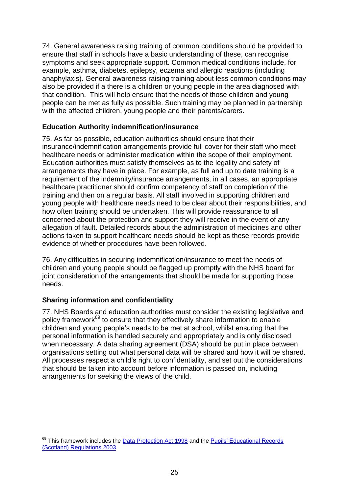74. General awareness raising training of common conditions should be provided to ensure that staff in schools have a basic understanding of these, can recognise symptoms and seek appropriate support. Common medical conditions include, for example, asthma, diabetes, epilepsy, eczema and allergic reactions (including anaphylaxis). General awareness raising training about less common conditions may also be provided if a there is a children or young people in the area diagnosed with that condition. This will help ensure that the needs of those children and young people can be met as fully as possible. Such training may be planned in partnership with the affected children, young people and their parents/carers.

# <span id="page-24-0"></span>**Education Authority indemnification/insurance**

75. As far as possible, education authorities should ensure that their insurance/indemnification arrangements provide full cover for their staff who meet healthcare needs or administer medication within the scope of their employment. Education authorities must satisfy themselves as to the legality and safety of arrangements they have in place. For example, as full and up to date training is a requirement of the indemnity/insurance arrangements, in all cases, an appropriate healthcare practitioner should confirm competency of staff on completion of the training and then on a regular basis. All staff involved in supporting children and young people with healthcare needs need to be clear about their responsibilities, and how often training should be undertaken. This will provide reassurance to all concerned about the protection and support they will receive in the event of any allegation of fault. Detailed records about the administration of medicines and other actions taken to support healthcare needs should be kept as these records provide evidence of whether procedures have been followed.

76. Any difficulties in securing indemnification/insurance to meet the needs of children and young people should be flagged up promptly with the NHS board for joint consideration of the arrangements that should be made for supporting those needs.

# <span id="page-24-1"></span>**Sharing information and confidentiality**

77. NHS Boards and education authorities must consider the existing legislative and policy framework<sup>69</sup> to ensure that they effectively share information to enable children and young people"s needs to be met at school, whilst ensuring that the personal information is handled securely and appropriately and is only disclosed when necessary. A data sharing agreement (DSA) should be put in place between organisations setting out what personal data will be shared and how it will be shared. All processes respect a child"s right to confidentiality, and set out the considerations that should be taken into account before information is passed on, including arrangements for seeking the views of the child.

<sup>1</sup> <sup>69</sup> This framework includes the **Data Protection Act 1998** and the **Pupils' Educational Records** [\(Scotland\) Regulations 2003.](http://www.legislation.gov.uk/ssi/2003/581/contents/made)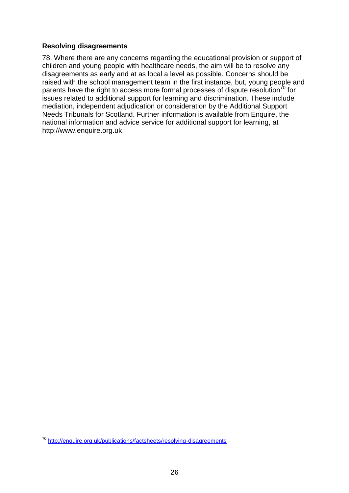# <span id="page-25-0"></span>**Resolving disagreements**

78. Where there are any concerns regarding the educational provision or support of children and young people with healthcare needs, the aim will be to resolve any disagreements as early and at as local a level as possible. Concerns should be raised with the school management team in the first instance, but, young people and parents have the right to access more formal processes of dispute resolution<sup>70</sup> for issues related to additional support for learning and discrimination. These include mediation, independent adjudication or consideration by the Additional Support Needs Tribunals for Scotland. Further information is available from Enquire, the national information and advice service for additional support for learning, at [http://www.enquire.org.uk.](http://www.enquire.org.uk/)

<sup>1</sup> <sup>70</sup> <http://enquire.org.uk/publications/factsheets/resolving-disagreements>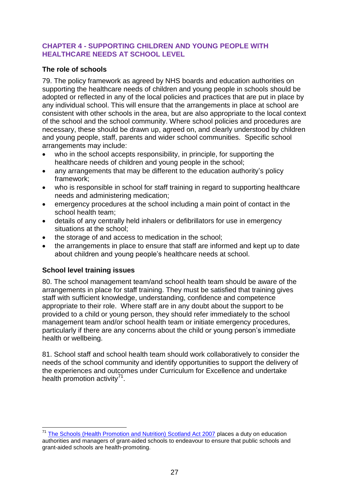# <span id="page-26-0"></span>**CHAPTER 4 - SUPPORTING CHILDREN AND YOUNG PEOPLE WITH HEALTHCARE NEEDS AT SCHOOL LEVEL**

# <span id="page-26-1"></span>**The role of schools**

79. The policy framework as agreed by NHS boards and education authorities on supporting the healthcare needs of children and young people in schools should be adopted or reflected in any of the local policies and practices that are put in place by any individual school. This will ensure that the arrangements in place at school are consistent with other schools in the area, but are also appropriate to the local context of the school and the school community. Where school policies and procedures are necessary, these should be drawn up, agreed on, and clearly understood by children and young people, staff, parents and wider school communities. Specific school arrangements may include:

- who in the school accepts responsibility, in principle, for supporting the healthcare needs of children and young people in the school;
- any arrangements that may be different to the education authority's policy framework;
- who is responsible in school for staff training in regard to supporting healthcare needs and administering medication;
- emergency procedures at the school including a main point of contact in the school health team;
- details of any centrally held inhalers or defibrillators for use in emergency situations at the school;
- the storage of and access to medication in the school;
- the arrangements in place to ensure that staff are informed and kept up to date about children and young people"s healthcare needs at school.

# <span id="page-26-2"></span>**School level training issues**

1

80. The school management team/and school health team should be aware of the arrangements in place for staff training. They must be satisfied that training gives staff with sufficient knowledge, understanding, confidence and competence appropriate to their role. Where staff are in any doubt about the support to be provided to a child or young person, they should refer immediately to the school management team and/or school health team or initiate emergency procedures, particularly if there are any concerns about the child or young person"s immediate health or wellbeing.

81. School staff and school health team should work collaboratively to consider the needs of the school community and identify opportunities to support the delivery of the experiences and outcomes under Curriculum for Excellence and undertake health promotion activity<sup>71</sup>.

<sup>&</sup>lt;sup>71</sup> [The Schools \(Health Promotion and Nutrition\) Scotland Act 2007](http://www.legislation.gov.uk/asp/2007/15) places a duty on education authorities and managers of grant-aided schools to endeavour to ensure that public schools and grant-aided schools are health-promoting.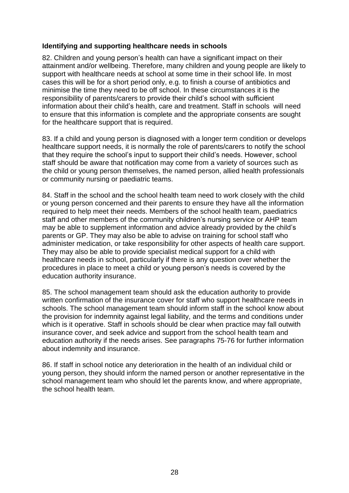# <span id="page-27-0"></span>**Identifying and supporting healthcare needs in schools**

82. Children and young person"s health can have a significant impact on their attainment and/or wellbeing. Therefore, many children and young people are likely to support with healthcare needs at school at some time in their school life. In most cases this will be for a short period only, e.g. to finish a course of antibiotics and minimise the time they need to be off school. In these circumstances it is the responsibility of parents/carers to provide their child"s school with sufficient information about their child"s health, care and treatment. Staff in schools will need to ensure that this information is complete and the appropriate consents are sought for the healthcare support that is required.

83. If a child and young person is diagnosed with a longer term condition or develops healthcare support needs, it is normally the role of parents/carers to notify the school that they require the school"s input to support their child"s needs. However, school staff should be aware that notification may come from a variety of sources such as the child or young person themselves, the named person, allied health professionals or community nursing or paediatric teams.

84. Staff in the school and the school health team need to work closely with the child or young person concerned and their parents to ensure they have all the information required to help meet their needs. Members of the school health team, paediatrics staff and other members of the community children"s nursing service or AHP team may be able to supplement information and advice already provided by the child"s parents or GP. They may also be able to advise on training for school staff who administer medication, or take responsibility for other aspects of health care support. They may also be able to provide specialist medical support for a child with healthcare needs in school, particularly if there is any question over whether the procedures in place to meet a child or young person"s needs is covered by the education authority insurance.

85. The school management team should ask the education authority to provide written confirmation of the insurance cover for staff who support healthcare needs in schools. The school management team should inform staff in the school know about the provision for indemnity against legal liability, and the terms and conditions under which is it operative. Staff in schools should be clear when practice may fall outwith insurance cover, and seek advice and support from the school health team and education authority if the needs arises. See paragraphs 75-76 for further information about indemnity and insurance.

86. If staff in school notice any deterioration in the health of an individual child or young person, they should inform the named person or another representative in the school management team who should let the parents know, and where appropriate, the school health team.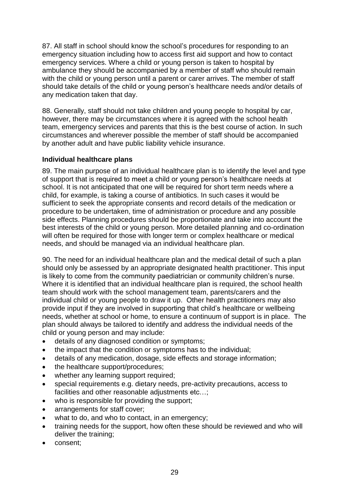87. All staff in school should know the school"s procedures for responding to an emergency situation including how to access first aid support and how to contact emergency services. Where a child or young person is taken to hospital by ambulance they should be accompanied by a member of staff who should remain with the child or young person until a parent or carer arrives. The member of staff should take details of the child or young person"s healthcare needs and/or details of any medication taken that day.

88. Generally, staff should not take children and young people to hospital by car, however, there may be circumstances where it is agreed with the school health team, emergency services and parents that this is the best course of action. In such circumstances and wherever possible the member of staff should be accompanied by another adult and have public liability vehicle insurance.

# <span id="page-28-0"></span>**Individual healthcare plans**

89. The main purpose of an individual healthcare plan is to identify the level and type of support that is required to meet a child or young person"s healthcare needs at school. It is not anticipated that one will be required for short term needs where a child, for example, is taking a course of antibiotics. In such cases it would be sufficient to seek the appropriate consents and record details of the medication or procedure to be undertaken, time of administration or procedure and any possible side effects. Planning procedures should be proportionate and take into account the best interests of the child or young person. More detailed planning and co-ordination will often be required for those with longer term or complex healthcare or medical needs, and should be managed via an individual healthcare plan.

90. The need for an individual healthcare plan and the medical detail of such a plan should only be assessed by an appropriate designated health practitioner. This input is likely to come from the community paediatrician or community children's nurse. Where it is identified that an individual healthcare plan is required, the school health team should work with the school management team, parents/carers and the individual child or young people to draw it up. Other health practitioners may also provide input if they are involved in supporting that child"s healthcare or wellbeing needs, whether at school or home, to ensure a continuum of support is in place. The plan should always be tailored to identify and address the individual needs of the child or young person and may include:

- details of any diagnosed condition or symptoms;
- the impact that the condition or symptoms has to the individual;
- details of any medication, dosage, side effects and storage information;
- the healthcare support/procedures;
- whether any learning support required;
- special requirements e.g. dietary needs, pre-activity precautions, access to facilities and other reasonable adjustments etc…;
- who is responsible for providing the support;
- arrangements for staff cover;
- what to do, and who to contact, in an emergency;
- training needs for the support, how often these should be reviewed and who will deliver the training;
- consent;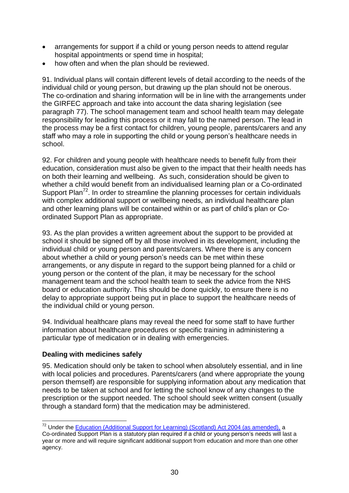- arrangements for support if a child or young person needs to attend regular hospital appointments or spend time in hospital;
- how often and when the plan should be reviewed.

91. Individual plans will contain different levels of detail according to the needs of the individual child or young person, but drawing up the plan should not be onerous. The co-ordination and sharing information will be in line with the arrangements under the GIRFEC approach and take into account the data sharing legislation (see paragraph 77). The school management team and school health team may delegate responsibility for leading this process or it may fall to the named person. The lead in the process may be a first contact for children, young people, parents/carers and any staff who may a role in supporting the child or young person's healthcare needs in school.

92. For children and young people with healthcare needs to benefit fully from their education, consideration must also be given to the impact that their health needs has on both their learning and wellbeing. As such, consideration should be given to whether a child would benefit from an individualised learning plan or a Co-ordinated Support Plan<sup>72</sup>. In order to streamline the planning processes for certain individuals with complex additional support or wellbeing needs, an individual healthcare plan and other learning plans will be contained within or as part of child"s plan or Coordinated Support Plan as appropriate.

93. As the plan provides a written agreement about the support to be provided at school it should be signed off by all those involved in its development, including the individual child or young person and parents/carers. Where there is any concern about whether a child or young person"s needs can be met within these arrangements, or any dispute in regard to the support being planned for a child or young person or the content of the plan, it may be necessary for the school management team and the school health team to seek the advice from the NHS board or education authority. This should be done quickly, to ensure there is no delay to appropriate support being put in place to support the healthcare needs of the individual child or young person.

94. Individual healthcare plans may reveal the need for some staff to have further information about healthcare procedures or specific training in administering a particular type of medication or in dealing with emergencies.

# <span id="page-29-0"></span>**Dealing with medicines safely**

1

95. Medication should only be taken to school when absolutely essential, and in line with local policies and procedures. Parents/carers (and where appropriate the young person themself) are responsible for supplying information about any medication that needs to be taken at school and for letting the school know of any changes to the prescription or the support needed. The school should seek written consent (usually through a standard form) that the medication may be administered.

<sup>&</sup>lt;sup>72</sup> Under the [Education \(Additional Support for Learning\) \(Scotland\) Act 2004 \(as amended\),](http://www.legislation.gov.uk/asp/2004/4/crossheading/coordinated-support-plans) a Co-ordinated Support Plan is a statutory plan required if a child or young person"s needs will last a year or more and will require significant additional support from education and more than one other agency.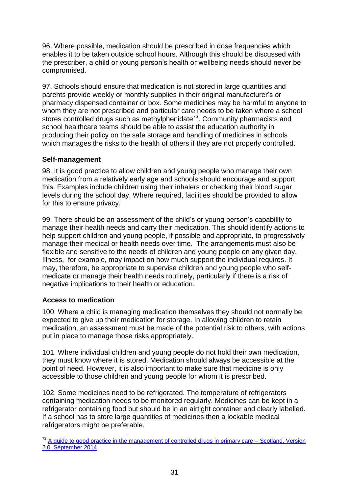96. Where possible, medication should be prescribed in dose frequencies which enables it to be taken outside school hours. Although this should be discussed with the prescriber, a child or young person"s health or wellbeing needs should never be compromised.

97. Schools should ensure that medication is not stored in large quantities and parents provide weekly or monthly supplies in their original manufacturer"s or pharmacy dispensed container or box. Some medicines may be harmful to anyone to whom they are not prescribed and particular care needs to be taken where a school stores controlled drugs such as methylphenidate $73$ . Community pharmacists and school healthcare teams should be able to assist the education authority in producing their policy on the safe storage and handling of medicines in schools which manages the risks to the health of others if they are not properly controlled.

# <span id="page-30-0"></span>**Self-management**

98. It is good practice to allow children and young people who manage their own medication from a relatively early age and schools should encourage and support this. Examples include children using their inhalers or checking their blood sugar levels during the school day. Where required, facilities should be provided to allow for this to ensure privacy.

99. There should be an assessment of the child"s or young person"s capability to manage their health needs and carry their medication. This should identify actions to help support children and young people, if possible and appropriate, to progressively manage their medical or health needs over time. The arrangements must also be flexible and sensitive to the needs of children and young people on any given day. Illness, for example, may impact on how much support the individual requires. It may, therefore, be appropriate to supervise children and young people who selfmedicate or manage their health needs routinely, particularly if there is a risk of negative implications to their health or education.

#### <span id="page-30-1"></span>**Access to medication**

100. Where a child is managing medication themselves they should not normally be expected to give up their medication for storage. In allowing children to retain medication, an assessment must be made of the potential risk to others, with actions put in place to manage those risks appropriately.

101. Where individual children and young people do not hold their own medication, they must know where it is stored. Medication should always be accessible at the point of need. However, it is also important to make sure that medicine is only accessible to those children and young people for whom it is prescribed.

102. Some medicines need to be refrigerated. The temperature of refrigerators containing medication needs to be monitored regularly. Medicines can be kept in a refrigerator containing food but should be in an airtight container and clearly labelled. If a school has to store large quantities of medicines then a lockable medical refrigerators might be preferable.

<sup>1</sup> <sup>73</sup> [A guide to good practice in the management of controlled drugs in primary care –](http://www.knowledge.scot.nhs.uk/media/CLT/ResourceUploads/4055959/Primary_Care_Guide_Scotland_v.2.0_171114.pdf) Scotland, Version [2.0, September 2014](http://www.knowledge.scot.nhs.uk/media/CLT/ResourceUploads/4055959/Primary_Care_Guide_Scotland_v.2.0_171114.pdf)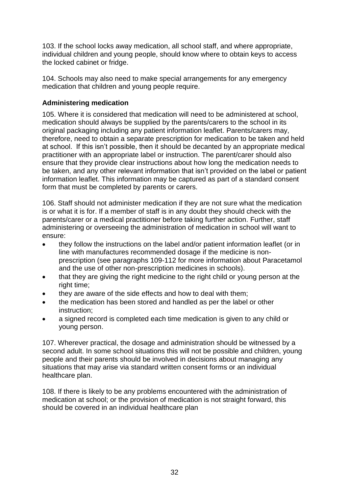103. If the school locks away medication, all school staff, and where appropriate, individual children and young people, should know where to obtain keys to access the locked cabinet or fridge.

104. Schools may also need to make special arrangements for any emergency medication that children and young people require.

# <span id="page-31-0"></span>**Administering medication**

105. Where it is considered that medication will need to be administered at school, medication should always be supplied by the parents/carers to the school in its original packaging including any patient information leaflet. Parents/carers may, therefore, need to obtain a separate prescription for medication to be taken and held at school. If this isn"t possible, then it should be decanted by an appropriate medical practitioner with an appropriate label or instruction. The parent/carer should also ensure that they provide clear instructions about how long the medication needs to be taken, and any other relevant information that isn"t provided on the label or patient information leaflet. This information may be captured as part of a standard consent form that must be completed by parents or carers.

106. Staff should not administer medication if they are not sure what the medication is or what it is for. If a member of staff is in any doubt they should check with the parents/carer or a medical practitioner before taking further action. Further, staff administering or overseeing the administration of medication in school will want to ensure:

- they follow the instructions on the label and/or patient information leaflet (or in line with manufactures recommended dosage if the medicine is nonprescription (see paragraphs 109-112 for more information about Paracetamol and the use of other non-prescription medicines in schools).
- that they are giving the right medicine to the right child or young person at the right time;
- they are aware of the side effects and how to deal with them;
- the medication has been stored and handled as per the label or other instruction;
- a signed record is completed each time medication is given to any child or young person.

107. Wherever practical, the dosage and administration should be witnessed by a second adult. In some school situations this will not be possible and children, young people and their parents should be involved in decisions about managing any situations that may arise via standard written consent forms or an individual healthcare plan.

108. If there is likely to be any problems encountered with the administration of medication at school; or the provision of medication is not straight forward, this should be covered in an individual healthcare plan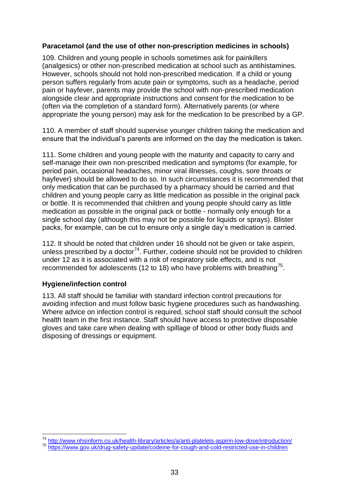# <span id="page-32-0"></span>**Paracetamol (and the use of other non-prescription medicines in schools)**

109. Children and young people in schools sometimes ask for painkillers (analgesics) or other non-prescribed medication at school such as antihistamines. However, schools should not hold non-prescribed medication. If a child or young person suffers regularly from acute pain or symptoms, such as a headache, period pain or hayfever, parents may provide the school with non-prescribed medication alongside clear and appropriate instructions and consent for the medication to be (often via the completion of a standard form). Alternatively parents (or where appropriate the young person) may ask for the medication to be prescribed by a GP.

110. A member of staff should supervise younger children taking the medication and ensure that the individual"s parents are informed on the day the medication is taken.

111. Some children and young people with the maturity and capacity to carry and self-manage their own non-prescribed medication and symptoms (for example, for period pain, occasional headaches, minor viral illnesses, coughs, sore throats or hayfever) should be allowed to do so. In such circumstances it is recommended that only medication that can be purchased by a pharmacy should be carried and that children and young people carry as little medication as possible in the original pack or bottle. It is recommended that children and young people should carry as little medication as possible in the original pack or bottle - normally only enough for a single school day (although this may not be possible for liquids or sprays). Blister packs, for example, can be cut to ensure only a single day"s medication is carried.

112. It should be noted that children under 16 should not be given or take aspirin, unless prescribed by a doctor<sup>74</sup>. Further, codeine should not be provided to children under 12 as it is associated with a risk of respiratory side effects, and is not recommended for adolescents (12 to 18) who have problems with breathing<sup>75</sup>.

# <span id="page-32-1"></span>**Hygiene/infection control**

1

113. All staff should be familiar with standard infection control precautions for avoiding infection and must follow basic hygiene procedures such as handwashing. Where advice on infection control is required, school staff should consult the school health team in the first instance. Staff should have access to protective disposable gloves and take care when dealing with spillage of blood or other body fluids and disposing of dressings or equipment.

<sup>&</sup>lt;sup>74</sup> <http://www.nhsinform.co.uk/health-library/articles/a/anti-platelets-aspirin-low-dose/introduction/>

<sup>75</sup> <https://www.gov.uk/drug-safety-update/codeine-for-cough-and-cold-restricted-use-in-children>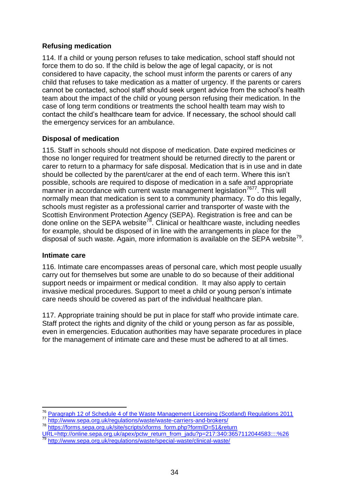# <span id="page-33-0"></span>**Refusing medication**

114. If a child or young person refuses to take medication, school staff should not force them to do so. If the child is below the age of legal capacity, or is not considered to have capacity, the school must inform the parents or carers of any child that refuses to take medication as a matter of urgency. If the parents or carers cannot be contacted, school staff should seek urgent advice from the school"s health team about the impact of the child or young person refusing their medication. In the case of long term conditions or treatments the school health team may wish to contact the child"s healthcare team for advice. If necessary, the school should call the emergency services for an ambulance.

# <span id="page-33-1"></span>**Disposal of medication**

115. Staff in schools should not dispose of medication. Date expired medicines or those no longer required for treatment should be returned directly to the parent or carer to return to a pharmacy for safe disposal. Medication that is in use and in date should be collected by the parent/carer at the end of each term. Where this isn"t possible, schools are required to dispose of medication in a safe and appropriate manner in accordance with current waste management legislation<sup>7677</sup>. This will normally mean that medication is sent to a community pharmacy. To do this legally, schools must register as a professional carrier and transporter of waste with the Scottish Environment Protection Agency (SEPA). Registration is free and can be done online on the SEPA website<sup>78</sup>. Clinical or healthcare waste, including needles for example, should be disposed of in line with the arrangements in place for the disposal of such waste. Again, more information is available on the SEPA website<sup>79</sup>.

# <span id="page-33-2"></span>**Intimate care**

1

116. Intimate care encompasses areas of personal care, which most people usually carry out for themselves but some are unable to do so because of their additional support needs or impairment or medical condition. It may also apply to certain invasive medical procedures. Support to meet a child or young person"s intimate care needs should be covered as part of the individual healthcare plan.

117. Appropriate training should be put in place for staff who provide intimate care. Staff protect the rights and dignity of the child or young person as far as possible. even in emergencies. Education authorities may have separate procedures in place for the management of intimate care and these must be adhered to at all times.

<sup>&</sup>lt;sup>76</sup> [Paragraph 12 of Schedule 4 of the Waste Management Licensing \(Scotland\) Regulations 2011](http://www.legislation.gov.uk/sdsi/2011/9780111012147/schedule/4) 77 <http://www.sepa.org.uk/regulations/waste/waste-carriers-and-brokers/>

<sup>78</sup> [https://forms.sepa.org.uk/site/scripts/xforms\\_form.php?formID=51&return](https://forms.sepa.org.uk/site/scripts/xforms_form.php?formID=51&returnURL=http://online.sepa.org.uk/apex/pctw_return_from_jadu?p=217:340:3657112044583::::%26)

[URL=http://online.sepa.org.uk/apex/pctw\\_return\\_from\\_jadu?p=217:340:3657112044583::::%26](https://forms.sepa.org.uk/site/scripts/xforms_form.php?formID=51&returnURL=http://online.sepa.org.uk/apex/pctw_return_from_jadu?p=217:340:3657112044583::::%26) <http://www.sepa.org.uk/regulations/waste/special-waste/clinical-waste/>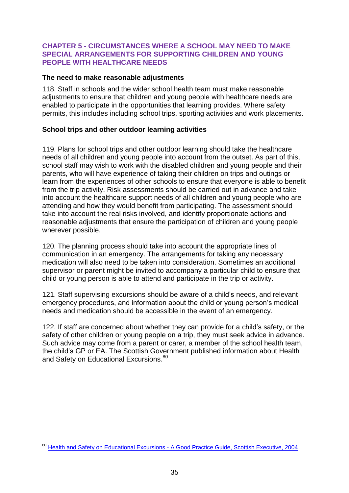#### <span id="page-34-0"></span>**CHAPTER 5 - CIRCUMSTANCES WHERE A SCHOOL MAY NEED TO MAKE SPECIAL ARRANGEMENTS FOR SUPPORTING CHILDREN AND YOUNG PEOPLE WITH HEALTHCARE NEEDS**

#### <span id="page-34-1"></span>**The need to make reasonable adjustments**

118. Staff in schools and the wider school health team must make reasonable adjustments to ensure that children and young people with healthcare needs are enabled to participate in the opportunities that learning provides. Where safety permits, this includes including school trips, sporting activities and work placements.

# <span id="page-34-2"></span>**School trips and other outdoor learning activities**

119. Plans for school trips and other outdoor learning should take the healthcare needs of all children and young people into account from the outset. As part of this, school staff may wish to work with the disabled children and young people and their parents, who will have experience of taking their children on trips and outings or learn from the experiences of other schools to ensure that everyone is able to benefit from the trip activity. Risk assessments should be carried out in advance and take into account the healthcare support needs of all children and young people who are attending and how they would benefit from participating. The assessment should take into account the real risks involved, and identify proportionate actions and reasonable adjustments that ensure the participation of children and young people wherever possible.

120. The planning process should take into account the appropriate lines of communication in an emergency. The arrangements for taking any necessary medication will also need to be taken into consideration. Sometimes an additional supervisor or parent might be invited to accompany a particular child to ensure that child or young person is able to attend and participate in the trip or activity.

121. Staff supervising excursions should be aware of a child"s needs, and relevant emergency procedures, and information about the child or young person's medical needs and medication should be accessible in the event of an emergency.

122. If staff are concerned about whether they can provide for a child"s safety, or the safety of other children or young people on a trip, they must seek advice in advance. Such advice may come from a parent or carer, a member of the school health team, the child"s GP or EA. The Scottish Government published information about Health and Safety on Educational Excursions.<sup>80</sup>

<sup>1</sup> <sup>80</sup> Health and Safety on Educational Excursions - [A Good Practice Guide, Scottish Executive, 2004](http://www.gov.scot/Publications/2004/12/20444/48943)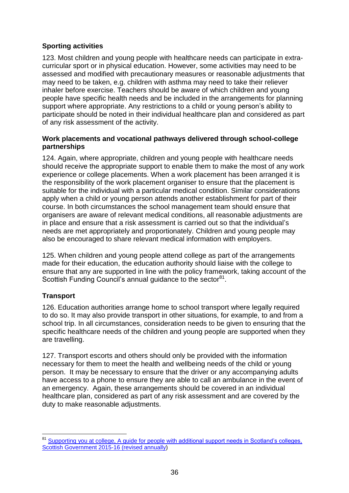# <span id="page-35-0"></span>**Sporting activities**

123. Most children and young people with healthcare needs can participate in extracurricular sport or in physical education. However, some activities may need to be assessed and modified with precautionary measures or reasonable adjustments that may need to be taken, e.g. children with asthma may need to take their reliever inhaler before exercise. Teachers should be aware of which children and young people have specific health needs and be included in the arrangements for planning support where appropriate. Any restrictions to a child or young person"s ability to participate should be noted in their individual healthcare plan and considered as part of any risk assessment of the activity.

# <span id="page-35-1"></span>**Work placements and vocational pathways delivered through school-college partnerships**

124. Again, where appropriate, children and young people with healthcare needs should receive the appropriate support to enable them to make the most of any work experience or college placements. When a work placement has been arranged it is the responsibility of the work placement organiser to ensure that the placement is suitable for the individual with a particular medical condition. Similar considerations apply when a child or young person attends another establishment for part of their course. In both circumstances the school management team should ensure that organisers are aware of relevant medical conditions, all reasonable adjustments are in place and ensure that a risk assessment is carried out so that the individual"s needs are met appropriately and proportionately. Children and young people may also be encouraged to share relevant medical information with employers.

125. When children and young people attend college as part of the arrangements made for their education, the education authority should liaise with the college to ensure that any are supported in line with the policy framework, taking account of the Scottish Funding Council's annual guidance to the sector<sup>81</sup>.

# <span id="page-35-2"></span>**Transport**

126. Education authorities arrange home to school transport where legally required to do so. It may also provide transport in other situations, for example, to and from a school trip. In all circumstances, consideration needs to be given to ensuring that the specific healthcare needs of the children and young people are supported when they are travelling.

127. Transport escorts and others should only be provided with the information necessary for them to meet the health and wellbeing needs of the child or young person. It may be necessary to ensure that the driver or any accompanying adults have access to a phone to ensure they are able to call an ambulance in the event of an emergency. Again, these arrangements should be covered in an individual healthcare plan, considered as part of any risk assessment and are covered by the duty to make reasonable adjustments.

<sup>1</sup> <sup>81</sup> Supporting you at college, A guide for people with additional support needs in Scotland's colleges, [Scottish Government 2015-16 \(revised annually\)](http://gov.scot/Resource/0048/00488682.pdf)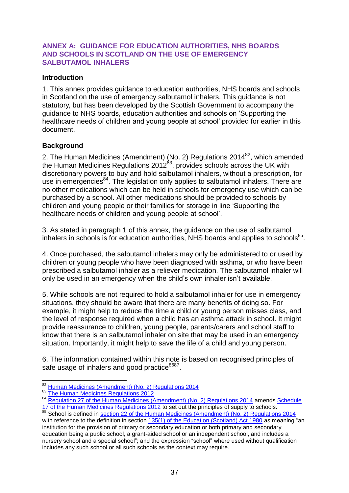#### <span id="page-36-0"></span>**ANNEX A: GUIDANCE FOR EDUCATION AUTHORITIES, NHS BOARDS AND SCHOOLS IN SCOTLAND ON THE USE OF EMERGENCY SALBUTAMOL INHALERS**

#### <span id="page-36-1"></span>**Introduction**

1. This annex provides guidance to education authorities, NHS boards and schools in Scotland on the use of emergency salbutamol inhalers. This guidance is not statutory, but has been developed by the Scottish Government to accompany the guidance to NHS boards, education authorities and schools on "Supporting the healthcare needs of children and young people at school" provided for earlier in this document.

# <span id="page-36-2"></span>**Background**

2. The [Human Medicines \(Amendment\) \(No. 2\) Regulations 2014](http://www.legislation.gov.uk/uksi/2014/1878/made/data.pdf)<sup>82</sup>, which amended the Human Medicines Regulations 2012 $^{83}$ , provides schools across the UK with discretionary powers to buy and hold salbutamol inhalers, without a prescription, for use in emergencies<sup>84</sup>. The legislation only applies to salbutamol inhalers. There are no other medications which can be held in schools for emergency use which can be purchased by a school. All other medications should be provided to schools by children and young people or their families for storage in line "Supporting the healthcare needs of children and young people at school".

3. As stated in paragraph 1 of this annex, the guidance on the use of salbutamol inhalers in schools is for education authorities, NHS boards and applies to schools $85$ .

4. Once purchased, the salbutamol inhalers may only be administered to or used by children or young people who have been diagnosed with asthma, or who have been prescribed a salbutamol inhaler as a reliever medication. The salbutamol inhaler will only be used in an emergency when the child"s own inhaler isn"t available.

5. While schools are not required to hold a salbutamol inhaler for use in emergency situations, they should be aware that there are many benefits of doing so. For example, it might help to reduce the time a child or young person misses class, and the level of response required when a child has an asthma attack in school. It might provide reassurance to children, young people, parents/carers and school staff to know that there is an salbutamol inhaler on site that may be used in an emergency situation. Importantly, it might help to save the life of a child and young person.

6. The information contained within this note is based on recognised principles of safe usage of inhalers and good practice<sup>8687</sup>.

<sup>1</sup> 82 [Human Medicines \(Amendment\) \(No. 2\) Regulations 2014](http://www.legislation.gov.uk/uksi/2014/1878/contents/made)

<sup>83</sup> [The Human Medicines Regulations 2012](http://www.legislation.gov.uk/uksi/2012/1916/contents/made)

<sup>84</sup> [Regulation 27 of the Human Medicines \(Amendment\) \(No. 2\) Regulations 2014](http://www.legislation.gov.uk/uksi/2014/1878/regulation/27/made) amends Schedule [17 of the Human Medicines Regulations 2012](http://www.legislation.gov.uk/uksi/2012/1916/schedule/17/made) to set out the principles of supply to schools.

<sup>85</sup> School is defined in [section 22 of the Human Medicines \(Amendment\) \(No. 2\) Regulations 2014](http://www.legislation.gov.uk/uksi/2014/1878/regulation/22/made) with reference to the definition in section [135\(1\) of the Education \(Scotland\) Act 1980](http://www.legislation.gov.uk/ukpga/1980/44/section/135) as meaning "an institution for the provision of primary or secondary education or both primary and secondary education being a public school, a grant-aided school or an independent school, and includes a nursery school and a special school"; and the expression "school" where used without qualification includes any such school or all such schools as the context may require.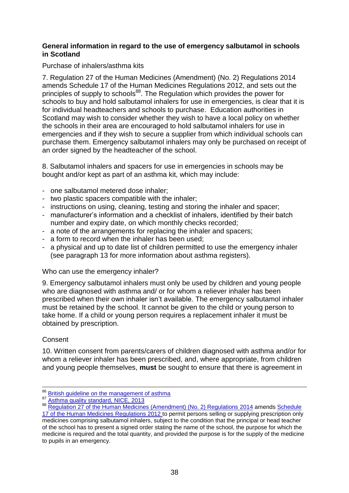#### <span id="page-37-0"></span>**General information in regard to the use of emergency salbutamol in schools in Scotland**

# Purchase of inhalers/asthma kits

7. Regulation 27 of the Human Medicines (Amendment) (No. 2) Regulations 2014 amends Schedule 17 of the Human Medicines Regulations 2012, and sets out the principles of supply to schools<sup>88</sup>. The Regulation which provides the power for schools to buy and hold salbutamol inhalers for use in emergencies, is clear that it is for individual headteachers and schools to purchase. Education authorities in Scotland may wish to consider whether they wish to have a local policy on whether the schools in their area are encouraged to hold salbutamol inhalers for use in emergencies and if they wish to secure a supplier from which individual schools can purchase them. Emergency salbutamol inhalers may only be purchased on receipt of an order signed by the headteacher of the school.

8. Salbutamol inhalers and spacers for use in emergencies in schools may be bought and/or kept as part of an asthma kit, which may include:

- one salbutamol metered dose inhaler;
- two plastic spacers compatible with the inhaler;
- instructions on using, cleaning, testing and storing the inhaler and spacer;
- manufacturer"s information and a checklist of inhalers, identified by their batch number and expiry date, on which monthly checks recorded;
- a note of the arrangements for replacing the inhaler and spacers;
- a form to record when the inhaler has been used;
- a physical and up to date list of children permitted to use the emergency inhaler (see paragraph 13 for more information about asthma registers).

#### Who can use the emergency inhaler?

9. Emergency salbutamol inhalers must only be used by children and young people who are diagnosed with asthma and/ or for whom a reliever inhaler has been prescribed when their own inhaler isn"t available. The emergency salbutamol inhaler must be retained by the school. It cannot be given to the child or young person to take home. If a child or young person requires a replacement inhaler it must be obtained by prescription.

# **Consent**

1

10. Written consent from parents/carers of children diagnosed with asthma and/or for whom a reliever inhaler has been prescribed, and, where appropriate, from children and young people themselves, **must** be sought to ensure that there is agreement in

<sup>&</sup>lt;sup>86</sup> [British guideline on the management of asthma](http://www.sign.ac.uk/guidelines/fulltext/153/index.html)

<sup>87</sup> [Asthma quality standard, NICE, 2013](https://www.nice.org.uk/guidance/qs25/resources/asthma-2098547456965)

<sup>88</sup> [Regulation 27 of the Human Medicines \(Amendment\) \(No. 2\) Regulations](http://www.legislation.gov.uk/uksi/2014/1878/regulation/27/made) 2014 amends Schedule [17 of the Human Medicines Regulations 2012](http://www.legislation.gov.uk/uksi/2012/1916/schedule/17/made) to permit persons selling or supplying prescription only

medicines comprising salbutamol inhalers, subject to the condition that the principal or head teacher of the school has to present a signed order stating the name of the school, the purpose for which the medicine is required and the total quantity, and provided the purpose is for the supply of the medicine to pupils in an emergency.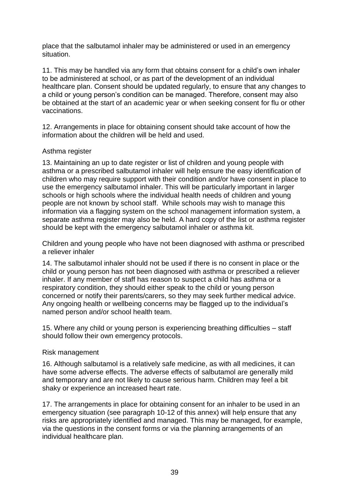place that the salbutamol inhaler may be administered or used in an emergency situation.

11. This may be handled via any form that obtains consent for a child"s own inhaler to be administered at school, or as part of the development of an individual healthcare plan. Consent should be updated regularly, to ensure that any changes to a child or young person"s condition can be managed. Therefore, consent may also be obtained at the start of an academic year or when seeking consent for flu or other vaccinations.

12. Arrangements in place for obtaining consent should take account of how the information about the children will be held and used.

#### Asthma register

13. Maintaining an up to date register or list of children and young people with asthma or a prescribed salbutamol inhaler will help ensure the easy identification of children who may require support with their condition and/or have consent in place to use the emergency salbutamol inhaler. This will be particularly important in larger schools or high schools where the individual health needs of children and young people are not known by school staff. While schools may wish to manage this information via a flagging system on the school management information system, a separate asthma register may also be held. A hard copy of the list or asthma register should be kept with the emergency salbutamol inhaler or asthma kit.

Children and young people who have not been diagnosed with asthma or prescribed a reliever inhaler

14. The salbutamol inhaler should not be used if there is no consent in place or the child or young person has not been diagnosed with asthma or prescribed a reliever inhaler. If any member of staff has reason to suspect a child has asthma or a respiratory condition, they should either speak to the child or young person concerned or notify their parents/carers, so they may seek further medical advice. Any ongoing health or wellbeing concerns may be flagged up to the individual"s named person and/or school health team.

15. Where any child or young person is experiencing breathing difficulties – staff should follow their own emergency protocols.

#### Risk management

16. Although salbutamol is a relatively safe medicine, as with all medicines, it can have some adverse effects. The adverse effects of salbutamol are generally mild and temporary and are not likely to cause serious harm. Children may feel a bit shaky or experience an increased heart rate.

17. The arrangements in place for obtaining consent for an inhaler to be used in an emergency situation (see paragraph 10-12 of this annex) will help ensure that any risks are appropriately identified and managed. This may be managed, for example, via the questions in the consent forms or via the planning arrangements of an individual healthcare plan.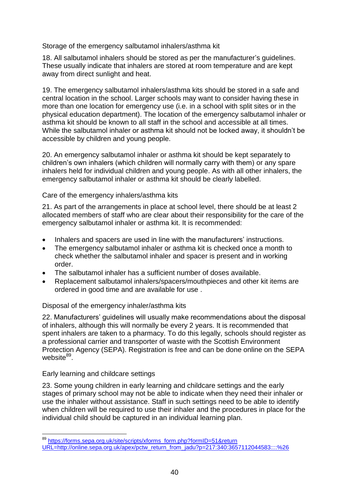Storage of the emergency salbutamol inhalers/asthma kit

18. All salbutamol inhalers should be stored as per the manufacturer"s guidelines. These usually indicate that inhalers are stored at room temperature and are kept away from direct sunlight and heat.

19. The emergency salbutamol inhalers/asthma kits should be stored in a safe and central location in the school. Larger schools may want to consider having these in more than one location for emergency use (i.e. in a school with split sites or in the physical education department). The location of the emergency salbutamol inhaler or asthma kit should be known to all staff in the school and accessible at all times. While the salbutamol inhaler or asthma kit should not be locked away, it shouldn"t be accessible by children and young people.

20. An emergency salbutamol inhaler or asthma kit should be kept separately to children"s own inhalers (which children will normally carry with them) or any spare inhalers held for individual children and young people. As with all other inhalers, the emergency salbutamol inhaler or asthma kit should be clearly labelled.

Care of the emergency inhalers/asthma kits

21. As part of the arrangements in place at school level, there should be at least 2 allocated members of staff who are clear about their responsibility for the care of the emergency salbutamol inhaler or asthma kit. It is recommended:

- Inhalers and spacers are used in line with the manufacturers' instructions.
- The emergency salbutamol inhaler or asthma kit is checked once a month to check whether the salbutamol inhaler and spacer is present and in working order.
- The salbutamol inhaler has a sufficient number of doses available.
- Replacement salbutamol inhalers/spacers/mouthpieces and other kit items are ordered in good time and are available for use .

#### Disposal of the emergency inhaler/asthma kits

22. Manufacturers" guidelines will usually make recommendations about the disposal of inhalers, although this will normally be every 2 years. It is recommended that spent inhalers are taken to a pharmacy. To do this legally, schools should register as a professional carrier and transporter of waste with the Scottish Environment Protection Agency (SEPA). Registration is free and can be done online on the SEPA website<sup>89</sup>.

#### Early learning and childcare settings

1

23. Some young children in early learning and childcare settings and the early stages of primary school may not be able to indicate when they need their inhaler or use the inhaler without assistance. Staff in such settings need to be able to identify when children will be required to use their inhaler and the procedures in place for the individual child should be captured in an individual learning plan.

<sup>&</sup>lt;sup>89</sup> [https://forms.sepa.org.uk/site/scripts/xforms\\_form.php?formID=51&return](https://forms.sepa.org.uk/site/scripts/xforms_form.php?formID=51&returnURL=http://online.sepa.org.uk/apex/pctw_return_from_jadu?p=217:340:3657112044583::::%26) [URL=http://online.sepa.org.uk/apex/pctw\\_return\\_from\\_jadu?p=217:340:3657112044583::::%26](https://forms.sepa.org.uk/site/scripts/xforms_form.php?formID=51&returnURL=http://online.sepa.org.uk/apex/pctw_return_from_jadu?p=217:340:3657112044583::::%26)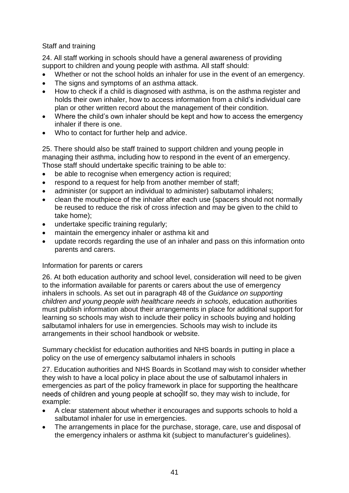# Staff and training

24. All staff working in schools should have a general awareness of providing support to children and young people with asthma. All staff should:

- Whether or not the school holds an inhaler for use in the event of an emergency.
- The signs and symptoms of an asthma attack.
- How to check if a child is diagnosed with asthma, is on the asthma register and holds their own inhaler, how to access information from a child's individual care plan or other written record about the management of their condition.
- Where the child"s own inhaler should be kept and how to access the emergency inhaler if there is one.
- Who to contact for further help and advice.

25. There should also be staff trained to support children and young people in managing their asthma, including how to respond in the event of an emergency. Those staff should undertake specific training to be able to:

- be able to recognise when emergency action is required;
- respond to a request for help from another member of staff;
- administer (or support an individual to administer) salbutamol inhalers:
- clean the mouthpiece of the inhaler after each use (spacers should not normally be reused to reduce the risk of cross infection and may be given to the child to take home);
- undertake specific training regularly;
- maintain the emergency inhaler or asthma kit and
- update records regarding the use of an inhaler and pass on this information onto parents and carers.

#### Information for parents or carers

26. At both education authority and school level, consideration will need to be given to the information available for parents or carers about the use of emergency inhalers in schools. As set out in paragraph 48 of the *Guidance on supporting children and young people with healthcare needs in schools*, education authorities must publish information about their arrangements in place for additional support for learning so schools may wish to include their policy in schools buying and holding salbutamol inhalers for use in emergencies. Schools may wish to include its arrangements in their school handbook or website.

Summary checklist for education authorities and NHS boards in putting in place a policy on the use of emergency salbutamol inhalers in schools

27. Education authorities and NHS Boards in Scotland may wish to consider whether they wish to have a local policy in place about the use of salbutamol inhalers in emergencies as part of the policy framework in place for supporting the healthcare needs of children and young people at schoollf so, they may wish to include, for example:

- A clear statement about whether it encourages and supports schools to hold a salbutamol inhaler for use in emergencies.
- The arrangements in place for the purchase, storage, care, use and disposal of the emergency inhalers or asthma kit (subject to manufacturer"s guidelines).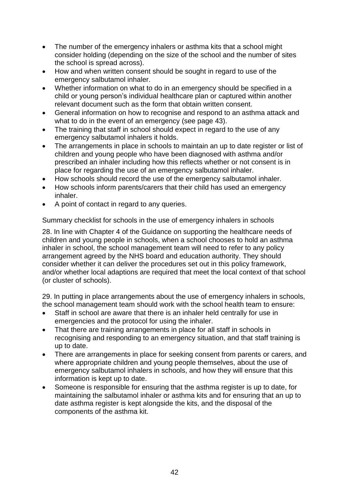- The number of the emergency inhalers or asthma kits that a school might consider holding (depending on the size of the school and the number of sites the school is spread across).
- How and when written consent should be sought in regard to use of the emergency salbutamol inhaler.
- Whether information on what to do in an emergency should be specified in a child or young person"s individual healthcare plan or captured within another relevant document such as the form that obtain written consent.
- General information on how to recognise and respond to an asthma attack and what to do in the event of an emergency (see page 43).
- The training that staff in school should expect in regard to the use of any emergency salbutamol inhalers it holds.
- The arrangements in place in schools to maintain an up to date register or list of children and young people who have been diagnosed with asthma and/or prescribed an inhaler including how this reflects whether or not consent is in place for regarding the use of an emergency salbutamol inhaler.
- How schools should record the use of the emergency salbutamol inhaler.
- How schools inform parents/carers that their child has used an emergency inhaler.
- A point of contact in regard to any queries.

Summary checklist for schools in the use of emergency inhalers in schools

28. In line with Chapter 4 of the Guidance on supporting the healthcare needs of children and young people in schools, when a school chooses to hold an asthma inhaler in school, the school management team will need to refer to any policy arrangement agreed by the NHS board and education authority. They should consider whether it can deliver the procedures set out in this policy framework, and/or whether local adaptions are required that meet the local context of that school (or cluster of schools).

29. In putting in place arrangements about the use of emergency inhalers in schools, the school management team should work with the school health team to ensure:

- Staff in school are aware that there is an inhaler held centrally for use in emergencies and the protocol for using the inhaler.
- That there are training arrangements in place for all staff in schools in recognising and responding to an emergency situation, and that staff training is up to date.
- There are arrangements in place for seeking consent from parents or carers, and where appropriate children and young people themselves, about the use of emergency salbutamol inhalers in schools, and how they will ensure that this information is kept up to date.
- Someone is responsible for ensuring that the asthma register is up to date, for maintaining the salbutamol inhaler or asthma kits and for ensuring that an up to date asthma register is kept alongside the kits, and the disposal of the components of the asthma kit.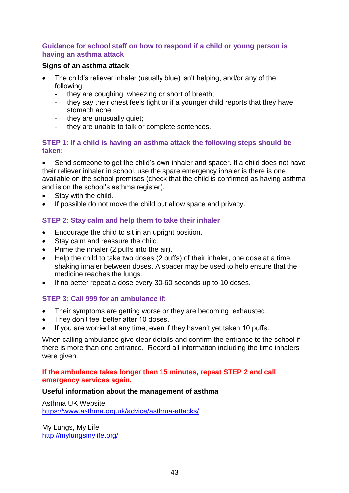#### <span id="page-42-0"></span>**Guidance for school staff on how to respond if a child or young person is having an asthma attack**

#### <span id="page-42-1"></span>**Signs of an asthma attack**

- The child"s reliever inhaler (usually blue) isn"t helping, and/or any of the following:
	- they are coughing, wheezing or short of breath;
	- they say their chest feels tight or if a younger child reports that they have stomach ache;
	- they are unusually quiet;
	- they are unable to talk or complete sentences.

# **STEP 1: If a child is having an asthma attack the following steps should be taken:**

 Send someone to get the child"s own inhaler and spacer. If a child does not have their reliever inhaler in school, use the spare emergency inhaler is there is one available on the school premises (check that the child is confirmed as having asthma and is on the school"s asthma register).

- Stay with the child.
- If possible do not move the child but allow space and privacy.

# **STEP 2: Stay calm and help them to take their inhaler**

- Encourage the child to sit in an upright position.
- Stay calm and reassure the child.
- Prime the inhaler (2 puffs into the air).
- Help the child to take two doses (2 puffs) of their inhaler, one dose at a time, shaking inhaler between doses. A spacer may be used to help ensure that the medicine reaches the lungs.
- If no better repeat a dose every 30-60 seconds up to 10 doses.

# **STEP 3: Call 999 for an ambulance if:**

- Their symptoms are getting worse or they are becoming exhausted.
- They don't feel better after 10 doses.
- If you are worried at any time, even if they haven't yet taken 10 puffs.

When calling ambulance give clear details and confirm the entrance to the school if there is more than one entrance. Record all information including the time inhalers were given.

#### **If the ambulance takes longer than 15 minutes, repeat STEP 2 and call emergency services again.**

#### <span id="page-42-2"></span>**Useful information about the management of asthma**

Asthma UK Website <https://www.asthma.org.uk/advice/asthma-attacks/>

My Lungs, My Life <http://mylungsmylife.org/>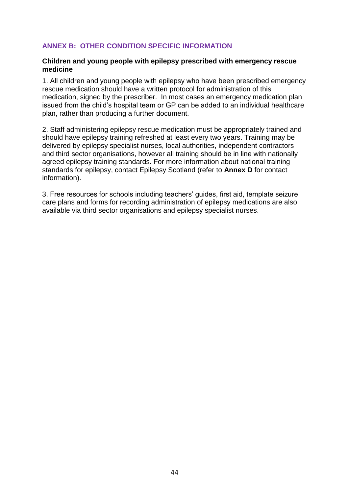# <span id="page-43-0"></span>**ANNEX B: OTHER CONDITION SPECIFIC INFORMATION**

#### <span id="page-43-1"></span>**Children and young people with epilepsy prescribed with emergency rescue medicine**

1. All children and young people with epilepsy who have been prescribed emergency rescue medication should have a written protocol for administration of this medication, signed by the prescriber. In most cases an emergency medication plan issued from the child"s hospital team or GP can be added to an individual healthcare plan, rather than producing a further document.

2. Staff administering epilepsy rescue medication must be appropriately trained and should have epilepsy training refreshed at least every two years. Training may be delivered by epilepsy specialist nurses, local authorities, independent contractors and third sector organisations, however all training should be in line with nationally agreed epilepsy training standards. For more information about national training standards for epilepsy, contact Epilepsy Scotland (refer to **Annex D** for contact information).

3. Free resources for schools including teachers" guides, first aid, template seizure care plans and forms for recording administration of epilepsy medications are also available via third sector organisations and epilepsy specialist nurses.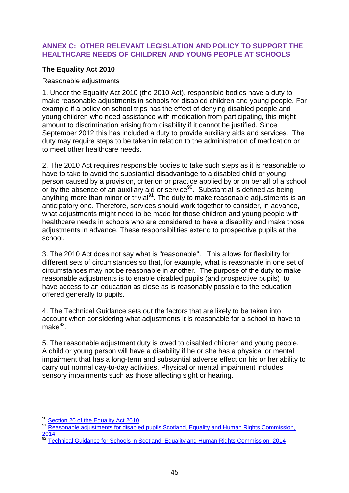# <span id="page-44-0"></span>**ANNEX C: OTHER RELEVANT LEGISLATION AND POLICY TO SUPPORT THE HEALTHCARE NEEDS OF CHILDREN AND YOUNG PEOPLE AT SCHOOLS**

# <span id="page-44-1"></span>**The Equality Act 2010**

#### Reasonable adjustments

1. Under the Equality Act 2010 (the 2010 Act), responsible bodies have a duty to make reasonable adjustments in schools for disabled children and young people. For example if a policy on school trips has the effect of denying disabled people and young children who need assistance with medication from participating, this might amount to discrimination arising from disability if it cannot be justified. Since September 2012 this has included a duty to provide auxiliary aids and services. The duty may require steps to be taken in relation to the administration of medication or to meet other healthcare needs.

2. The 2010 Act requires responsible bodies to take such steps as it is reasonable to have to take to avoid the substantial disadvantage to a disabled child or young person caused by a provision, criterion or practice applied by or on behalf of a school or by the absence of an auxiliary aid or service<sup>90</sup>. Substantial is defined as being anything more than minor or trivial $91$ . The duty to make reasonable adjustments is an anticipatory one. Therefore, services should work together to consider, in advance, what adjustments might need to be made for those children and young people with healthcare needs in schools who are considered to have a disability and make those adjustments in advance. These responsibilities extend to prospective pupils at the school.

3. The 2010 Act does not say what is "reasonable". This allows for flexibility for different sets of circumstances so that, for example, what is reasonable in one set of circumstances may not be reasonable in another. The purpose of the duty to make reasonable adjustments is to enable disabled pupils (and prospective pupils) to have access to an education as close as is reasonably possible to the education offered generally to pupils.

4. The Technical Guidance sets out the factors that are likely to be taken into account when considering what adjustments it is reasonable for a school to have to make<sup>92</sup>.

5. The reasonable adjustment duty is owed to disabled children and young people. A child or young person will have a disability if he or she has a physical or mental impairment that has a long-term and substantial adverse effect on his or her ability to carry out normal day-to-day activities. Physical or mental impairment includes sensory impairments such as those affecting sight or hearing.

<sup>1</sup> <sup>90</sup> [Section 20 of the Equality Act 2010](http://www.legislation.gov.uk/ukpga/2010/15/section/20)

Reasonable adjustments for disabled pupils Scotland, Equality and Human Rights Commission, [2014](http://www.equalityhumanrights.com/sites/default/files/reasonable_adjustments_for_disabled_pupils_scotland_0.pdf)

<sup>92</sup> [Technical Guidance for Schools in Scotland, Equality and Human Rights Commission, 2014](https://www.equalityhumanrights.com/sites/default/files/equalityact2010-technicalguidance-schoolsinscotland-2015_0.pdf)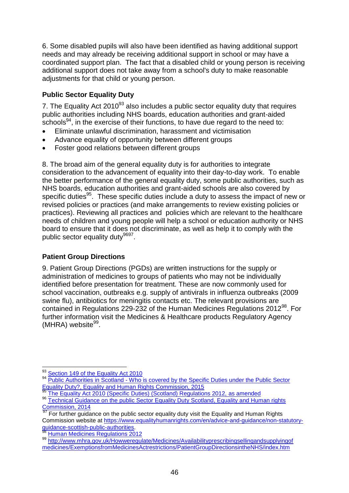6. Some disabled pupils will also have been identified as having additional support needs and may already be receiving additional support in school or may have a coordinated support plan. The fact that a disabled child or young person is receiving additional support does not take away from a school's duty to make reasonable adjustments for that child or young person.

# **Public Sector Equality Duty**

7. The Equality Act  $2010^{93}$  also includes a public sector equality duty that requires public authorities including NHS boards, education authorities and grant-aided schools<sup>94</sup>, in the exercise of their functions, to have due regard to the need to:

- Eliminate unlawful discrimination, harassment and victimisation
- Advance equality of opportunity between different groups
- Foster good relations between different groups

8. The broad aim of the general equality duty is for authorities to integrate consideration to the advancement of equality into their day-to-day work. To enable the better performance of the general equality duty, some public authorities, such as NHS boards, education authorities and grant-aided schools are also covered by specific duties<sup>95</sup>. These specific duties include a duty to assess the impact of new or revised policies or practices (and make arrangements to review existing policies or practices). Reviewing all practices and policies which are relevant to the healthcare needs of children and young people will help a school or education authority or NHS board to ensure that it does not discriminate, as well as help it to comply with the public sector equality duty<sup>9697</sup>.

# <span id="page-45-0"></span>**Patient Group Directions**

9. Patient Group Directions (PGDs) are written instructions for the supply or administration of medicines to groups of patients who may not be individually identified before presentation for treatment. These are now commonly used for school vaccination, outbreaks e.g. supply of antivirals in influenza outbreaks (2009 swine flu), antibiotics for meningitis contacts etc. The relevant provisions are contained in Regulations 229-232 of the Human Medicines Regulations 2012<sup>98</sup>. For further information visit the Medicines & Healthcare products Regulatory Agency (MHRA) website<sup>99</sup>.

<span id="page-45-1"></span>1

<sup>&</sup>lt;sup>93</sup> [Section 149 of the Equality Act 2010](http://www.legislation.gov.uk/ukpga/2010/15/section/149)

<sup>94</sup> Public Authorities in Scotland - Who is covered by the Specific Duties under the Public Sector [Equality Duty?, Equality and Human Rights Commission, 2015](https://www.equalityhumanrights.com/en/advice-and-guidance/public-authorities-scotland-who-covered-specific-duties)

[The Equality Act 2010 \(Specific Duties\) \(Scotland\) Regulations 2012,](http://www.legislation.gov.uk/sdsi/2012/9780111016718/contents) as amended

<sup>96</sup> Technical Guidance on the public Sector Equality Duty Scotland, Equality and Human rights [Commission, 2014](https://www.equalityhumanrights.com/en/publication-download/technical-guidance-public-sector-equality-duty-scotland)

<sup>&</sup>lt;sup>97</sup> For further guidance on the public sector equality duty visit the Equality and Human Rights Commission website at [https://www.equalityhumanrights.com/en/advice-and-guidance/non-statutory](https://www.equalityhumanrights.com/en/advice-and-guidance/non-statutory-guidance-scottish-public-authorities)[guidance-scottish-public-authorities.](https://www.equalityhumanrights.com/en/advice-and-guidance/non-statutory-guidance-scottish-public-authorities)

**[Human Medicines Regulations 2012](http://www.legislation.gov.uk/uksi/2012/1916/contents/made)** 

<sup>99</sup> [http://www.mhra.gov.uk/Howweregulate/Medicines/Availabilityprescribingsellingandsupplyingof](http://www.mhra.gov.uk/Howweregulate/Medicines/Availabilityprescribingsellingandsupplyingofmedicines/ExemptionsfromMedicinesActrestrictions/PatientGroupDirectionsintheNHS/index.htm) [medicines/ExemptionsfromMedicinesActrestrictions/PatientGroupDirectionsintheNHS/index.htm](http://www.mhra.gov.uk/Howweregulate/Medicines/Availabilityprescribingsellingandsupplyingofmedicines/ExemptionsfromMedicinesActrestrictions/PatientGroupDirectionsintheNHS/index.htm)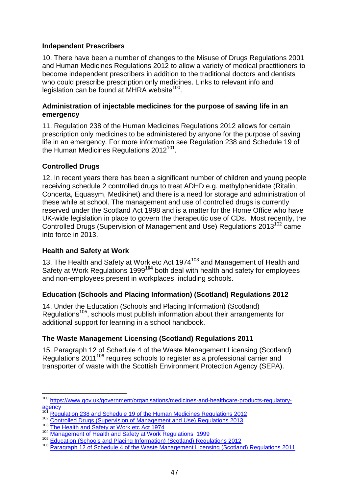# **Independent Prescribers**

10. There have been a number of changes to the Misuse of Drugs Regulations 2001 and Human Medicines Regulations 2012 to allow a variety of medical practitioners to become independent prescribers in addition to the traditional doctors and dentists who could prescribe prescription only medicines. Links to relevant info and legislation can be found at MHRA website<sup>100</sup>.

#### <span id="page-46-0"></span>**Administration of injectable medicines for the purpose of saving life in an emergency**

11. Regulation 238 of the Human Medicines Regulations 2012 allows for certain prescription only medicines to be administered by anyone for the purpose of saving life in an emergency. For more information see Regulation 238 and Schedule 19 of the Human Medicines Regulations 2012<sup>101</sup>.

# <span id="page-46-1"></span>**Controlled Drugs**

12. In recent years there has been a significant number of children and young people receiving schedule 2 controlled drugs to treat ADHD e.g. methylphenidate (Ritalin; Concerta, Equasym, Medikinet) and there is a need for storage and administration of these while at school. The management and use of controlled drugs is currently reserved under the Scotland Act 1998 and is a matter for the Home Office who have UK-wide legislation in place to govern the therapeutic use of CDs. Most recently, the Controlled Drugs (Supervision of Management and Use) Regulations 2013<sup>102</sup> came into force in 2013.

#### <span id="page-46-2"></span>**Health and Safety at Work**

13. The Health and Safety at Work etc Act 1974<sup>103</sup> and Management of Health and Safety at Work Regulations 1999**<sup>104</sup>** both deal with health and safety for employees and non-employees present in workplaces, including schools.

# <span id="page-46-3"></span>**Education (Schools and Placing Information) (Scotland) Regulations 2012**

14. Under the Education (Schools and Placing Information) (Scotland) Regulations<sup>105</sup>, schools must publish information about their arrangements for additional support for learning in a school handbook.

# <span id="page-46-4"></span>**The Waste Management Licensing (Scotland) Regulations 2011**

15. Paragraph 12 of Schedule 4 of the Waste Management Licensing (Scotland) Regulations 2011<sup>106</sup> requires schools to register as a professional carrier and transporter of waste with the Scottish Environment Protection Agency (SEPA).

1

<sup>&</sup>lt;sup>100</sup> [https://www.gov.uk/government/organisations/medicines-and-healthcare-products-regulatory-](https://www.gov.uk/government/organisations/medicines-and-healthcare-products-regulatory-agency) $\frac{25}{101}$  [agency](https://www.gov.uk/government/organisations/medicines-and-healthcare-products-regulatory-agency)

**<sup>101</sup>** [Regulation 238 and Schedule 19 of the Human Medicines Regulations 2012](http://www.legislation.gov.uk/uksi/2012/1916/contents/made)

<sup>102</sup> [Controlled Drugs \(Supervision of Management and Use\) Regulations 2013](http://www.legislation.gov.uk/uksi/2013/373/contents/made)

<sup>103</sup> The Health and Safety at Work etc Act 1974

<sup>104</sup> [Management of Health and Safety at Work Regulations 1999](http://www.legislation.gov.uk/uksi/1999/3242/contents/made)

<sup>105</sup> **[Education \(Schools and Placing Information\) \(Scotland\) Regulations 2012](http://www.legislation.gov.uk/ssi/2012/130/contents/made)** 

<sup>106</sup> **[Paragraph 12 of Schedule 4 of the Waste Management Licensing \(Scotland\) Regulations 2011](http://www.legislation.gov.uk/sdsi/2011/9780111012147/schedule/4)**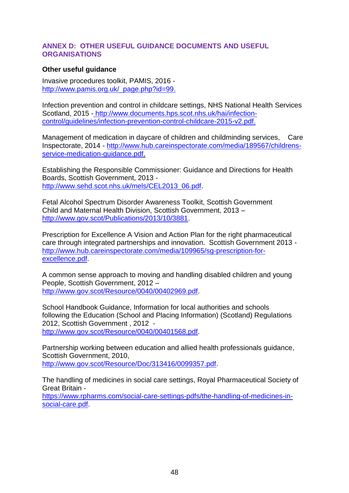#### <span id="page-47-0"></span>**ANNEX D: OTHER USEFUL GUIDANCE DOCUMENTS AND USEFUL ORGANISATIONS**

#### <span id="page-47-1"></span>**Other useful guidance**

Invasive procedures toolkit, PAMIS, 2016 [http://www.pamis.org.uk/\\_page.php?id=99.](http://www.pamis.org.uk/_page.php?id=99)

Infection prevention and control in childcare settings, NHS National Health Services Scotland, 2015 - [http://www.documents.hps.scot.nhs.uk/hai/infection](http://www.documents.hps.scot.nhs.uk/hai/infection-control/guidelines/infection-prevention-control-childcare-2015-v2.pdf)[control/guidelines/infection-prevention-control-childcare-2015-v2.pdf.](http://www.documents.hps.scot.nhs.uk/hai/infection-control/guidelines/infection-prevention-control-childcare-2015-v2.pdf)

Management of medication in daycare of children and childminding services, Care Inspectorate, 2014 - [http://www.hub.careinspectorate.com/media/189567/childrens](http://www.hub.careinspectorate.com/media/189567/childrens-service-medication-guidance.pdf)[service-medication-guidance.pdf.](http://www.hub.careinspectorate.com/media/189567/childrens-service-medication-guidance.pdf)

Establishing the Responsible Commissioner: Guidance and Directions for Health Boards, Scottish Government, 2013 [http://www.sehd.scot.nhs.uk/mels/CEL2013\\_06.pdf.](http://www.sehd.scot.nhs.uk/mels/CEL2013_06.pdf)

Fetal Alcohol Spectrum Disorder Awareness Toolkit, Scottish Government Child and Maternal Health Division, Scottish Government, 2013 – [http://www.gov.scot/Publications/2013/10/3881.](http://www.gov.scot/Publications/2013/10/3881)

Prescription for Excellence A Vision and Action Plan for the right pharmaceutical care through integrated partnerships and innovation. Scottish Government 2013 [http://www.hub.careinspectorate.com/media/109965/sg-prescription-for](http://www.hub.careinspectorate.com/media/109965/sg-prescription-for-excellence.pdf)[excellence.pdf.](http://www.hub.careinspectorate.com/media/109965/sg-prescription-for-excellence.pdf)

A common sense approach to moving and handling disabled children and young People, Scottish Government, 2012 – [http://www.gov.scot/Resource/0040/00402969.pdf.](http://www.gov.scot/Resource/0040/00402969.pdf)

School Handbook Guidance, Information for local authorities and schools following the Education (School and Placing Information) (Scotland) Regulations 2012, Scottish Government , 2012 [http://www.gov.scot/Resource/0040/00401568.pdf.](http://www.gov.scot/Resource/0040/00401568.pdf)

Partnership working between education and allied health professionals guidance, Scottish Government, 2010, [http://www.gov.scot/Resource/Doc/313416/0099357.pdf.](http://www.gov.scot/Resource/Doc/313416/0099357.pdf)

The handling of medicines in social care settings, Royal Pharmaceutical Society of Great Britain -

[https://www.rpharms.com/social-care-settings-pdfs/the-handling-of-medicines-in](https://www.rpharms.com/social-care-settings-pdfs/the-handling-of-medicines-in-social-care.pdf)[social-care.pdf.](https://www.rpharms.com/social-care-settings-pdfs/the-handling-of-medicines-in-social-care.pdf)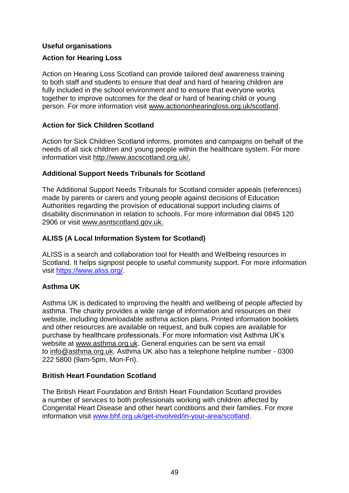# <span id="page-48-0"></span>**Useful organisations**

# **Action for Hearing Loss**

Action on Hearing Loss Scotland can provide tailored deaf awareness training to both staff and students to ensure that deaf and hard of hearing children are fully included in the school environment and to ensure that everyone works together to improve outcomes for the deaf or hard of hearing child or young person. For more information visit [www.actiononhearingloss.org.uk/scotland.](http://www.actiononhearingloss.org.uk/scotland)

# **Action for Sick Children Scotland**

Action for Sick Children Scotland informs, promotes and campaigns on behalf of the needs of all sick children and young people within the healthcare system. For more information visit [http://www.ascscotland.org.uk/.](http://www.ascscotland.org.uk/)

# **Additional Support Needs Tribunals for Scotland**

The Additional Support Needs Tribunals for Scotland consider appeals (references) made by parents or carers and young people against decisions of Education Authorities regarding the provision of educational support including claims of disability discrimination in relation to schools. For more information dial 0845 120 2906 or visit [www.asntscotland.gov.uk.](http://www.asntscotland.gov.uk/)

# **ALISS (A Local Information System for Scotland)**

ALISS is a search and collaboration tool for Health and Wellbeing resources in Scotland. It helps signpost people to useful community support. For more information visit [https://www.aliss.org/.](https://www.aliss.org/)

# **Asthma UK**

Asthma UK is dedicated to improving the health and wellbeing of people affected by asthma. The charity provides a wide range of information and resources on their website, including downloadable asthma action plans. Printed information booklets and other resources are available on request, and bulk copies are available for purchase by healthcare professionals. For more information visit Asthma UK"s website at [www.asthma.org.uk.](http://www.asthma.org.uk/) General enquiries can be sent via email to [info@asthma.org.uk.](mailto:info@asthma.org.uk) Asthma UK also has a telephone helpline number - 0300 222 5800 (9am-5pm, Mon-Fri).

# **British Heart Foundation Scotland**

The British Heart Foundation and British Heart Foundation Scotland provides a number of services to both professionals working with children affected by Congenital Heart Disease and other heart conditions and their families. For more information visit [www.bhf.org.uk/get-involved/in-your-area/scotland.](http://www.bhf.org.uk/get-involved/in-your-area/scotland)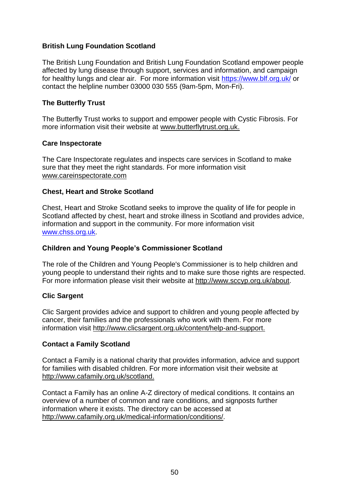# **British Lung Foundation Scotland**

The British Lung Foundation and British Lung Foundation Scotland empower people affected by lung disease through support, services and information, and campaign for healthy lungs and clear air. For more information visit<https://www.blf.org.uk/> or contact the helpline number 03000 030 555 (9am-5pm, Mon-Fri).

# **The Butterfly Trust**

The Butterfly Trust works to support and empower people with Cystic Fibrosis. For more information visit their website at [www.butterflytrust.org.uk.](http://www.butterflytrust.org.uk/)

#### **Care Inspectorate**

The Care Inspectorate regulates and inspects care services in Scotland to make sure that they meet the right standards. For more information visit [www.careinspectorate.com](http://www.careinspectorate.com/)

# **Chest, Heart and Stroke Scotland**

Chest, Heart and Stroke Scotland seeks to improve the quality of life for people in Scotland affected by chest, heart and stroke illness in Scotland and provides advice, information and support in the community. For more information visit [www.chss.org.uk.](http://www.chss.org.uk/)

# **Children and Young People's Commissioner Scotland**

The role of the Children and Young People's Commissioner is to help children and young people to understand their rights and to make sure those rights are respected. For more information please visit their website at [http://www.sccyp.org.uk/about.](http://www.sccyp.org.uk/about)

#### **Clic Sargent**

Clic Sargent provides advice and support to children and young people affected by cancer, their families and the professionals who work with them. For more information visit [http://www.clicsargent.org.uk/content/help-and-support.](http://www.clicsargent.org.uk/content/help-and-support)

#### **Contact a Family Scotland**

Contact a Family is a national charity that provides information, advice and support for families with disabled children. For more information visit their website at [http://www.cafamily.org.uk/scotland.](http://www.cafamily.org.uk/scotland)

Contact a Family has an online A-Z directory of medical conditions. It contains an overview of a number of common and rare conditions, and signposts further information where it exists. The directory can be accessed at [http://www.cafamily.org.uk/medical-information/conditions/.](http://www.cafamily.org.uk/medical-information/conditions/)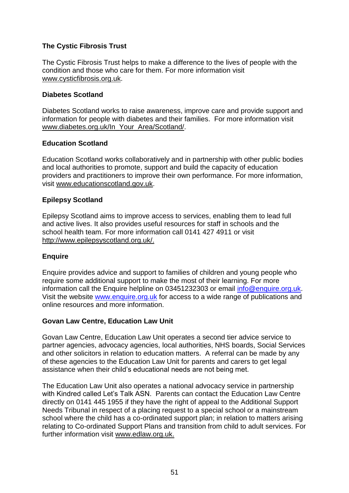# **The Cystic Fibrosis Trust**

The Cystic Fibrosis Trust helps to make a difference to the lives of people with the condition and those who care for them. For more information visit [www.cysticfibrosis.org.uk.](http://www.cysticfibrosis.org.uk/)

# **Diabetes Scotland**

Diabetes Scotland works to raise awareness, improve care and provide support and information for people with diabetes and their families. For more information visit [www.diabetes.org.uk/In\\_Your\\_Area/Scotland/.](http://www.diabetes.org.uk/In_Your_Area/Scotland/)

# **Education Scotland**

Education Scotland works collaboratively and in partnership with other public bodies and local authorities to promote, support and build the capacity of education providers and practitioners to improve their own performance. For more information, visit [www.educationscotland.gov.uk.](http://www.educationscotland.gov.uk/)

# **Epilepsy Scotland**

Epilepsy Scotland aims to improve access to services, enabling them to lead full and active lives. It also provides useful resources for staff in schools and the school health team. For more information call 0141 427 4911 or visit [http://www.epilepsyscotland.org.uk/.](http://www.epilepsyscotland.org.uk/)

# **Enquire**

Enquire provides advice and support to families of children and young people who require some additional support to make the most of their learning. For more information call the Enquire helpline on 03451232303 or email [info@enquire.org.uk.](mailto:info@enquire.org.uk) Visit the website [www.enquire.org.uk](http://www.enquire.org.uk/) for access to a wide range of publications and online resources and more information.

# **Govan Law Centre, Education Law Unit**

Govan Law Centre, Education Law Unit operates a second tier advice service to partner agencies, advocacy agencies, local authorities, NHS boards, Social Services and other solicitors in relation to education matters. A referral can be made by any of these agencies to the Education Law Unit for parents and carers to get legal assistance when their child"s educational needs are not being met.

The Education Law Unit also operates a national advocacy service in partnership with Kindred called Let's Talk ASN. Parents can contact the Education Law Centre directly on 0141 445 1955 if they have the right of appeal to the Additional Support Needs Tribunal in respect of a placing request to a special school or a mainstream school where the child has a co-ordinated support plan; in relation to matters arising relating to Co-ordinated Support Plans and transition from child to adult services. For further information visit [www.edlaw.org.uk.](http://www.edlaw.org.uk/)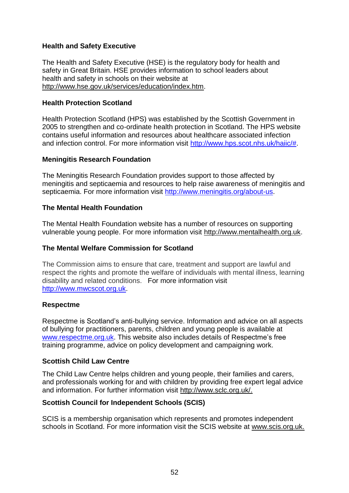# **Health and Safety Executive**

The Health and Safety Executive (HSE) is the regulatory body for health and safety in Great Britain. HSE provides information to school leaders about health and safety in schools on their website at [http://www.hse.gov.uk/services/education/index.htm.](http://www.hse.gov.uk/services/education/index.htm)

#### **Health Protection Scotland**

Health Protection Scotland (HPS) was established by the Scottish Government in 2005 to strengthen and co-ordinate health protection in Scotland. The HPS website contains useful information and resources about healthcare associated infection and infection control. For more information visit [http://www.hps.scot.nhs.uk/haiic/#.](http://www.hps.scot.nhs.uk/haiic/)

#### **Meningitis Research Foundation**

The Meningitis Research Foundation provides support to those affected by meningitis and septicaemia and resources to help raise awareness of meningitis and septicaemia. For more information visit [http://www.meningitis.org/about-us.](http://www.meningitis.org/about-us)

# **The Mental Health Foundation**

The Mental Health Foundation website has a number of resources on supporting vulnerable young people. For more information visit [http://www.mentalhealth.org.uk.](http://www.mentalhealth.org.uk/)

# **The Mental Welfare Commission for Scotland**

The Commission aims to ensure that care, treatment and support are lawful and respect the rights and promote the welfare of individuals with mental illness, learning disability and related conditions. For more information visit [http://www.mwcscot.org.uk.](http://www.mwcscot.org.uk/)

#### **Respectme**

Respectme is Scotland"s anti-bullying service. Information and advice on all aspects of bullying for practitioners, parents, children and young people is available at [www.respectme.org.uk.](http://www.respectme.org.uk/) This website also includes details of Respectme"s free training programme, advice on policy development and campaigning work.

#### **Scottish Child Law Centre**

The Child Law Centre helps children and young people, their families and carers, and professionals working for and with children by providing free expert legal advice and information. For further information visit [http://www.sclc.org.uk/.](http://www.sclc.org.uk/)

# **Scottish Council for Independent Schools (SCIS)**

SCIS is a membership organisation which represents and promotes independent schools in Scotland. For more information visit the SCIS website at [www.scis.org.uk.](http://www.scis.org.uk/)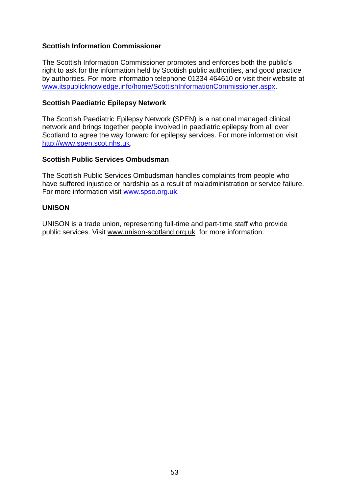# **Scottish Information Commissioner**

The Scottish Information Commissioner promotes and enforces both the public"s right to ask for the information held by Scottish public authorities, and good practice by authorities. For more information telephone 01334 464610 or visit their website at [www.itspublicknowledge.info/home/ScottishInformationCommissioner.aspx.](http://www.itspublicknowledge.info/home/ScottishInformationCommissioner.aspx)

#### **Scottish Paediatric Epilepsy Network**

The Scottish Paediatric Epilepsy Network (SPEN) is a national managed clinical network and brings together people involved in paediatric epilepsy from all over Scotland to agree the way forward for epilepsy services. For more information visit [http://www.spen.scot.nhs.uk.](http://www.spen.scot.nhs.uk/)

#### **Scottish Public Services Ombudsman**

The Scottish Public Services Ombudsman handles complaints from people who have suffered injustice or hardship as a result of maladministration or service failure. For more information visit [www.spso.org.uk.](http://www.spso.org.uk/)

#### **UNISON**

UNISON is a trade union, representing full-time and part-time staff who provide public services. Visit [www.unison-scotland.org.uk](http://www.unison-scotland.org.uk/) for more information.